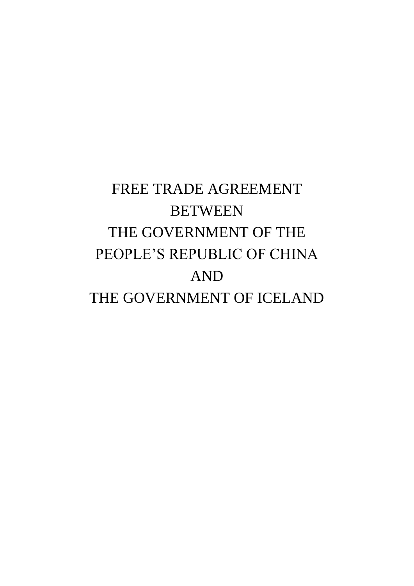# FREE TRADE AGREEMENT **BETWEEN** THE GOVERNMENT OF THE PEOPLE'S REPUBLIC OF CHINA AND THE GOVERNMENT OF ICELAND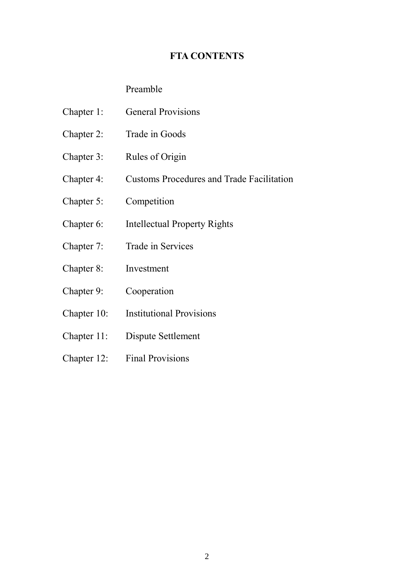# **FTA CONTENTS**

# Preamble

- Chapter 1: General Provisions
- Chapter 2: Trade in Goods
- Chapter 3: Rules of Origin
- Chapter 4: Customs Procedures and Trade Facilitation
- Chapter 5: Competition
- Chapter 6: Intellectual Property Rights
- Chapter 7: Trade in Services
- Chapter 8: Investment
- Chapter 9: Cooperation
- Chapter 10: Institutional Provisions
- Chapter 11: Dispute Settlement
- Chapter 12: Final Provisions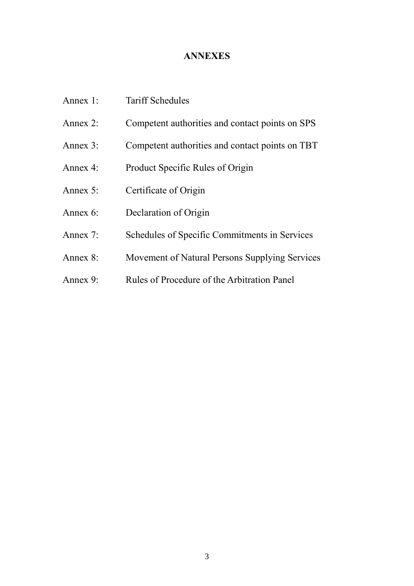# **ANNEXES**

| Annex 1:    | <b>Tariff Schedules</b>                         |
|-------------|-------------------------------------------------|
| Annex $2$ : | Competent authorities and contact points on SPS |
| Annex $3$ : | Competent authorities and contact points on TBT |
| Annex 4:    | Product Specific Rules of Origin                |
| Annex $5$ : | Certificate of Origin                           |
| Annex $6$ : | Declaration of Origin                           |
| Annex 7:    | Schedules of Specific Commitments in Services   |
| Annex $8$ : | Movement of Natural Persons Supplying Services  |
| Annex 9:    | Rules of Procedure of the Arbitration Panel     |
|             |                                                 |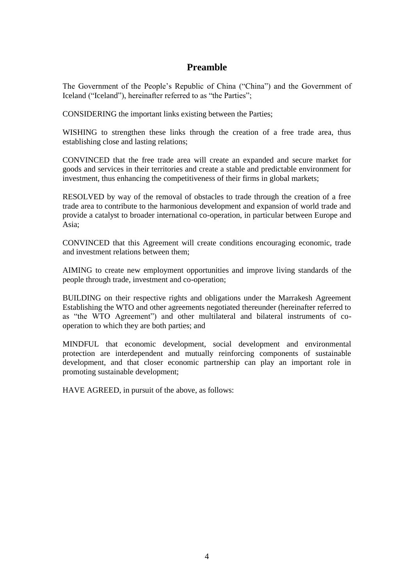# **Preamble**

The Government of the People's Republic of China ("China") and the Government of Iceland ("Iceland"), hereinafter referred to as "the Parties";

CONSIDERING the important links existing between the Parties;

WISHING to strengthen these links through the creation of a free trade area, thus establishing close and lasting relations;

CONVINCED that the free trade area will create an expanded and secure market for goods and services in their territories and create a stable and predictable environment for investment, thus enhancing the competitiveness of their firms in global markets;

RESOLVED by way of the removal of obstacles to trade through the creation of a free trade area to contribute to the harmonious development and expansion of world trade and provide a catalyst to broader international co-operation, in particular between Europe and Asia;

CONVINCED that this Agreement will create conditions encouraging economic, trade and investment relations between them;

AIMING to create new employment opportunities and improve living standards of the people through trade, investment and co-operation;

BUILDING on their respective rights and obligations under the Marrakesh Agreement Establishing the WTO and other agreements negotiated thereunder (hereinafter referred to as "the WTO Agreement") and other multilateral and bilateral instruments of cooperation to which they are both parties; and

MINDFUL that economic development, social development and environmental protection are interdependent and mutually reinforcing components of sustainable development, and that closer economic partnership can play an important role in promoting sustainable development;

HAVE AGREED, in pursuit of the above, as follows: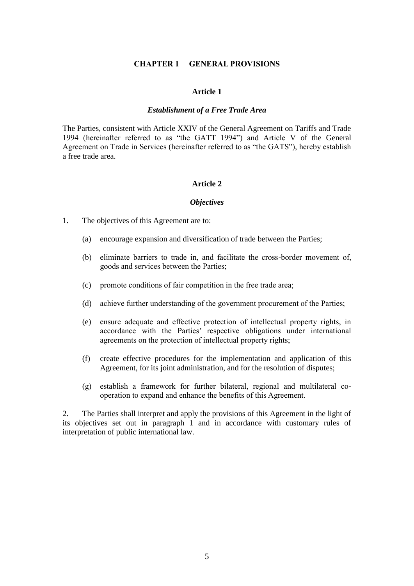### **CHAPTER 1 GENERAL PROVISIONS**

### **Article 1**

### *Establishment of a Free Trade Area*

The Parties, consistent with Article XXIV of the General Agreement on Tariffs and Trade 1994 (hereinafter referred to as "the GATT 1994") and Article V of the General Agreement on Trade in Services (hereinafter referred to as "the GATS"), hereby establish a free trade area.

#### **Article 2**

#### *Objectives*

1. The objectives of this Agreement are to:

- (a) encourage expansion and diversification of trade between the Parties;
- (b) eliminate barriers to trade in, and facilitate the cross-border movement of, goods and services between the Parties;
- (c) promote conditions of fair competition in the free trade area;
- (d) achieve further understanding of the government procurement of the Parties;
- (e) ensure adequate and effective protection of intellectual property rights, in accordance with the Parties' respective obligations under international agreements on the protection of intellectual property rights;
- (f) create effective procedures for the implementation and application of this Agreement, for its joint administration, and for the resolution of disputes;
- (g) establish a framework for further bilateral, regional and multilateral cooperation to expand and enhance the benefits of this Agreement.

2. The Parties shall interpret and apply the provisions of this Agreement in the light of its objectives set out in paragraph 1 and in accordance with customary rules of interpretation of public international law.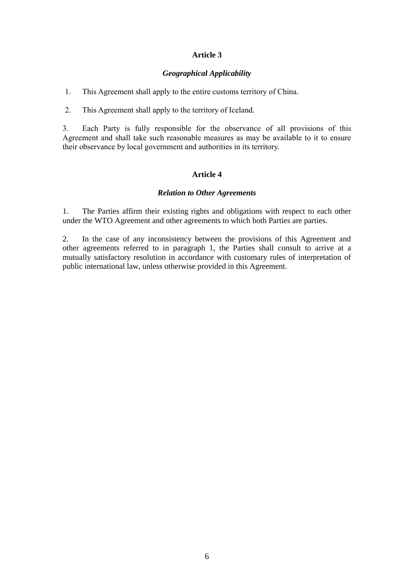# *Geographical Applicability*

1. This Agreement shall apply to the entire customs territory of China.

2. This Agreement shall apply to the territory of Iceland.

3. Each Party is fully responsible for the observance of all provisions of this Agreement and shall take such reasonable measures as may be available to it to ensure their observance by local government and authorities in its territory.

# **Article 4**

# *Relation to Other Agreements*

1. The Parties affirm their existing rights and obligations with respect to each other under the WTO Agreement and other agreements to which both Parties are parties.

2. In the case of any inconsistency between the provisions of this Agreement and other agreements referred to in paragraph 1, the Parties shall consult to arrive at a mutually satisfactory resolution in accordance with customary rules of interpretation of public international law, unless otherwise provided in this Agreement.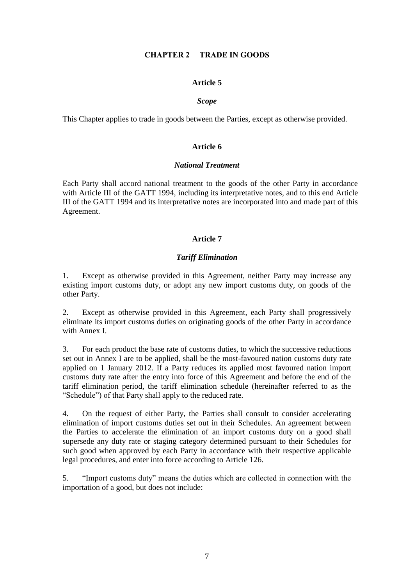# **CHAPTER 2 TRADE IN GOODS**

### **Article 5**

### *Scope*

This Chapter applies to trade in goods between the Parties, except as otherwise provided.

# **Article 6**

### *National Treatment*

Each Party shall accord national treatment to the goods of the other Party in accordance with Article III of the GATT 1994, including its interpretative notes, and to this end Article III of the GATT 1994 and its interpretative notes are incorporated into and made part of this Agreement.

# **Article 7**

# *Tariff Elimination*

1. Except as otherwise provided in this Agreement, neither Party may increase any existing import customs duty, or adopt any new import customs duty, on goods of the other Party.

2. Except as otherwise provided in this Agreement, each Party shall progressively eliminate its import customs duties on originating goods of the other Party in accordance with Annex I.

3. For each product the base rate of customs duties, to which the successive reductions set out in Annex I are to be applied, shall be the most-favoured nation customs duty rate applied on 1 January 2012. If a Party reduces its applied most favoured nation import customs duty rate after the entry into force of this Agreement and before the end of the tariff elimination period, the tariff elimination schedule (hereinafter referred to as the "Schedule") of that Party shall apply to the reduced rate.

4. On the request of either Party, the Parties shall consult to consider accelerating elimination of import customs duties set out in their Schedules. An agreement between the Parties to accelerate the elimination of an import customs duty on a good shall supersede any duty rate or staging category determined pursuant to their Schedules for such good when approved by each Party in accordance with their respective applicable legal procedures, and enter into force according to Article 126.

5. "Import customs duty" means the duties which are collected in connection with the importation of a good, but does not include: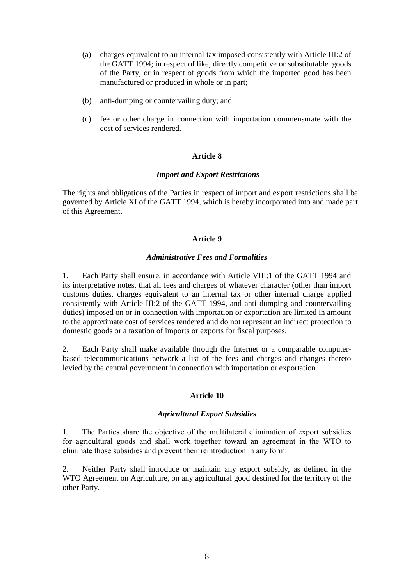- (a) charges equivalent to an internal tax imposed consistently with Article III:2 of the GATT 1994; in respect of like, directly competitive or substitutable goods of the Party, or in respect of goods from which the imported good has been manufactured or produced in whole or in part;
- (b) anti-dumping or countervailing duty; and
- (c) fee or other charge in connection with importation commensurate with the cost of services rendered.

# *Import and Export Restrictions*

The rights and obligations of the Parties in respect of import and export restrictions shall be governed by Article XI of the GATT 1994, which is hereby incorporated into and made part of this Agreement.

# **Article 9**

# *Administrative Fees and Formalities*

1. Each Party shall ensure, in accordance with Article VIII:1 of the GATT 1994 and its interpretative notes, that all fees and charges of whatever character (other than import customs duties, charges equivalent to an internal tax or other internal charge applied consistently with Article III:2 of the GATT 1994, and anti-dumping and countervailing duties) imposed on or in connection with importation or exportation are limited in amount to the approximate cost of services rendered and do not represent an indirect protection to domestic goods or a taxation of imports or exports for fiscal purposes.

2. Each Party shall make available through the Internet or a comparable computerbased telecommunications network a list of the fees and charges and changes thereto levied by the central government in connection with importation or exportation.

# **Article 10**

# *Agricultural Export Subsidies*

1. The Parties share the objective of the multilateral elimination of export subsidies for agricultural goods and shall work together toward an agreement in the WTO to eliminate those subsidies and prevent their reintroduction in any form.

2. Neither Party shall introduce or maintain any export subsidy, as defined in the WTO Agreement on Agriculture, on any agricultural good destined for the territory of the other Party.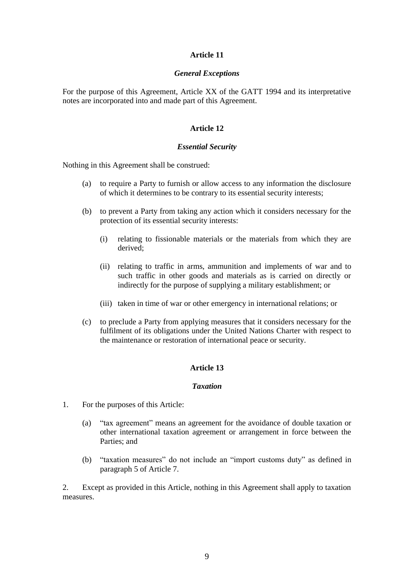### *General Exceptions*

For the purpose of this Agreement, Article XX of the GATT 1994 and its interpretative notes are incorporated into and made part of this Agreement.

# **Article 12**

### *Essential Security*

Nothing in this Agreement shall be construed:

- (a) to require a Party to furnish or allow access to any information the disclosure of which it determines to be contrary to its essential security interests;
- (b) to prevent a Party from taking any action which it considers necessary for the protection of its essential security interests:
	- (i) relating to fissionable materials or the materials from which they are derived;
	- (ii) relating to traffic in arms, ammunition and implements of war and to such traffic in other goods and materials as is carried on directly or indirectly for the purpose of supplying a military establishment; or
	- (iii) taken in time of war or other emergency in international relations; or
- (c) to preclude a Party from applying measures that it considers necessary for the fulfilment of its obligations under the United Nations Charter with respect to the maintenance or restoration of international peace or security.

### **Article 13**

# *Taxation*

- 1. For the purposes of this Article:
	- (a) "tax agreement" means an agreement for the avoidance of double taxation or other international taxation agreement or arrangement in force between the Parties; and
	- (b) "taxation measures" do not include an "import customs duty" as defined in paragraph 5 of Article 7.

2. Except as provided in this Article, nothing in this Agreement shall apply to taxation measures.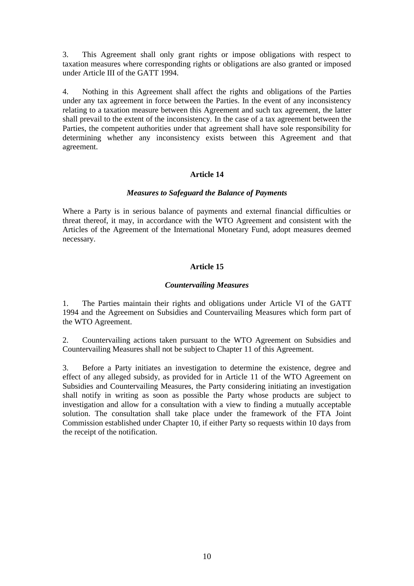3. This Agreement shall only grant rights or impose obligations with respect to taxation measures where corresponding rights or obligations are also granted or imposed under Article III of the GATT 1994.

4. Nothing in this Agreement shall affect the rights and obligations of the Parties under any tax agreement in force between the Parties. In the event of any inconsistency relating to a taxation measure between this Agreement and such tax agreement, the latter shall prevail to the extent of the inconsistency. In the case of a tax agreement between the Parties, the competent authorities under that agreement shall have sole responsibility for determining whether any inconsistency exists between this Agreement and that agreement.

# **Article 14**

### *Measures to Safeguard the Balance of Payments*

Where a Party is in serious balance of payments and external financial difficulties or threat thereof, it may, in accordance with the WTO Agreement and consistent with the Articles of the Agreement of the International Monetary Fund, adopt measures deemed necessary.

# **Article 15**

# *Countervailing Measures*

1. The Parties maintain their rights and obligations under Article VI of the GATT 1994 and the Agreement on Subsidies and Countervailing Measures which form part of the WTO Agreement.

2. Countervailing actions taken pursuant to the WTO Agreement on Subsidies and Countervailing Measures shall not be subject to Chapter 11 of this Agreement.

3. Before a Party initiates an investigation to determine the existence, degree and effect of any alleged subsidy, as provided for in Article 11 of the WTO Agreement on Subsidies and Countervailing Measures, the Party considering initiating an investigation shall notify in writing as soon as possible the Party whose products are subject to investigation and allow for a consultation with a view to finding a mutually acceptable solution. The consultation shall take place under the framework of the FTA Joint Commission established under Chapter 10, if either Party so requests within 10 days from the receipt of the notification.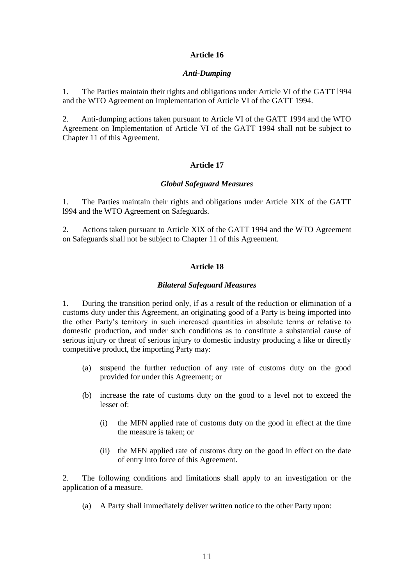# *Anti-Dumping*

1. The Parties maintain their rights and obligations under Article VI of the GATT l994 and the WTO Agreement on Implementation of Article VI of the GATT 1994.

2. Anti-dumping actions taken pursuant to Article VI of the GATT 1994 and the WTO Agreement on Implementation of Article VI of the GATT 1994 shall not be subject to Chapter 11 of this Agreement.

# **Article 17**

# *Global Safeguard Measures*

1. The Parties maintain their rights and obligations under Article XIX of the GATT l994 and the WTO Agreement on Safeguards.

2. Actions taken pursuant to Article XIX of the GATT 1994 and the WTO Agreement on Safeguards shall not be subject to Chapter 11 of this Agreement.

# **Article 18**

# *Bilateral Safeguard Measures*

1. During the transition period only, if as a result of the reduction or elimination of a customs duty under this Agreement, an originating good of a Party is being imported into the other Party's territory in such increased quantities in absolute terms or relative to domestic production*,* and under such conditions as to constitute a substantial cause of serious injury or threat of serious injury to domestic industry producing a like or directly competitive product, the importing Party may:

- (a) suspend the further reduction of any rate of customs duty on the good provided for under this Agreement; or
- (b) increase the rate of customs duty on the good to a level not to exceed the lesser of:
	- (i) the MFN applied rate of customs duty on the good in effect at the time the measure is taken; or
	- (ii) the MFN applied rate of customs duty on the good in effect on the date of entry into force of this Agreement.

2. The following conditions and limitations shall apply to an investigation or the application of a measure.

(a) A Party shall immediately deliver written notice to the other Party upon: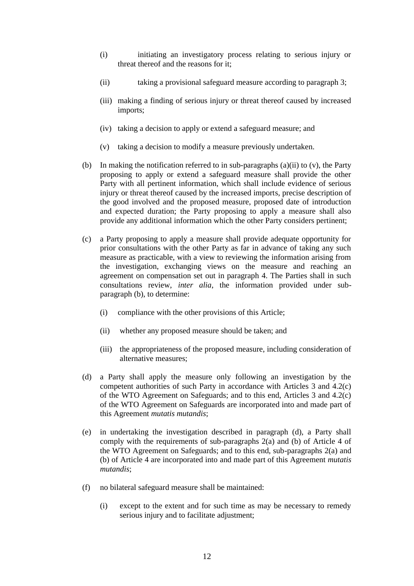- (i) initiating an investigatory process relating to serious injury or threat thereof and the reasons for it;
- (ii) taking a provisional safeguard measure according to paragraph 3;
- (iii) making a finding of serious injury or threat thereof caused by increased imports;
- (iv) taking a decision to apply or extend a safeguard measure; and
- (v) taking a decision to modify a measure previously undertaken.
- (b) In making the notification referred to in sub-paragraphs (a)(ii) to (v), the Party proposing to apply or extend a safeguard measure shall provide the other Party with all pertinent information, which shall include evidence of serious injury or threat thereof caused by the increased imports, precise description of the good involved and the proposed measure, proposed date of introduction and expected duration; the Party proposing to apply a measure shall also provide any additional information which the other Party considers pertinent;
- (c) a Party proposing to apply a measure shall provide adequate opportunity for prior consultations with the other Party as far in advance of taking any such measure as practicable, with a view to reviewing the information arising from the investigation, exchanging views on the measure and reaching an agreement on compensation set out in paragraph 4. The Parties shall in such consultations review, *inter alia*, the information provided under subparagraph (b), to determine:
	- (i) compliance with the other provisions of this Article;
	- (ii) whether any proposed measure should be taken; and
	- (iii) the appropriateness of the proposed measure, including consideration of alternative measures;
- (d) a Party shall apply the measure only following an investigation by the competent authorities of such Party in accordance with Articles 3 and 4.2(c) of the WTO Agreement on Safeguards; and to this end, Articles 3 and 4.2(c) of the WTO Agreement on Safeguards are incorporated into and made part of this Agreement *mutatis mutandis*;
- (e) in undertaking the investigation described in paragraph (d), a Party shall comply with the requirements of sub-paragraphs 2(a) and (b) of Article 4 of the WTO Agreement on Safeguards; and to this end, sub-paragraphs 2(a) and (b) of Article 4 are incorporated into and made part of this Agreement *mutatis mutandis*;
- (f) no bilateral safeguard measure shall be maintained:
	- (i) except to the extent and for such time as may be necessary to remedy serious injury and to facilitate adjustment;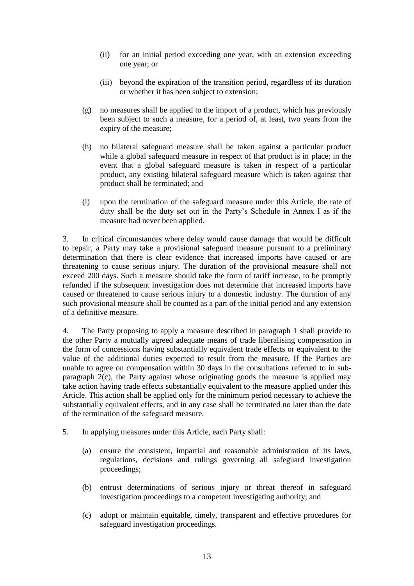- (ii) for an initial period exceeding one year, with an extension exceeding one year; or
- (iii) beyond the expiration of the transition period, regardless of its duration or whether it has been subject to extension;
- (g) no measures shall be applied to the import of a product, which has previously been subject to such a measure, for a period of, at least, two years from the expiry of the measure;
- (h) no bilateral safeguard measure shall be taken against a particular product while a global safeguard measure in respect of that product is in place; in the event that a global safeguard measure is taken in respect of a particular product, any existing bilateral safeguard measure which is taken against that product shall be terminated; and
- (i) upon the termination of the safeguard measure under this Article, the rate of duty shall be the duty set out in the Party's Schedule in Annex I as if the measure had never been applied.

3. In critical circumstances where delay would cause damage that would be difficult to repair, a Party may take a provisional safeguard measure pursuant to a preliminary determination that there is clear evidence that increased imports have caused or are threatening to cause serious injury. The duration of the provisional measure shall not exceed 200 days. Such a measure should take the form of tariff increase, to be promptly refunded if the subsequent investigation does not determine that increased imports have caused or threatened to cause serious injury to a domestic industry. The duration of any such provisional measure shall be counted as a part of the initial period and any extension of a definitive measure.

4. The Party proposing to apply a measure described in paragraph 1 shall provide to the other Party a mutually agreed adequate means of trade liberalising compensation in the form of concessions having substantially equivalent trade effects or equivalent to the value of the additional duties expected to result from the measure. If the Parties are unable to agree on compensation within 30 days in the consultations referred to in subparagraph 2(c), the Party against whose originating goods the measure is applied may take action having trade effects substantially equivalent to the measure applied under this Article. This action shall be applied only for the minimum period necessary to achieve the substantially equivalent effects, and in any case shall be terminated no later than the date of the termination of the safeguard measure.

- 5. In applying measures under this Article, each Party shall:
	- (a) ensure the consistent, impartial and reasonable administration of its laws, regulations, decisions and rulings governing all safeguard investigation proceedings;
	- (b) entrust determinations of serious injury or threat thereof in safeguard investigation proceedings to a competent investigating authority; and
	- (c) adopt or maintain equitable, timely, transparent and effective procedures for safeguard investigation proceedings.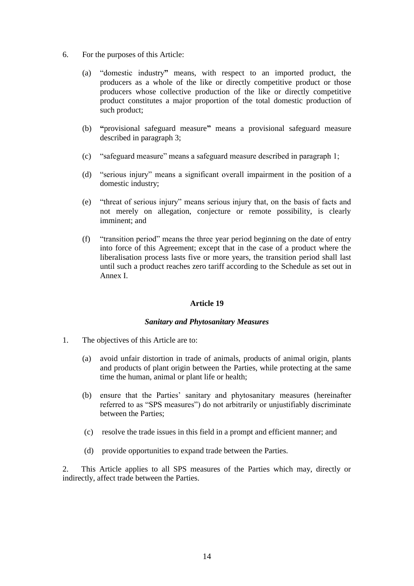- 6. For the purposes of this Article:
	- (a) "domestic industry**"** means, with respect to an imported product, the producers as a whole of the like or directly competitive product or those producers whose collective production of the like or directly competitive product constitutes a major proportion of the total domestic production of such product;
	- (b) **"**provisional safeguard measure**"** means a provisional safeguard measure described in paragraph 3;
	- (c) "safeguard measure" means a safeguard measure described in paragraph 1;
	- (d) "serious injury" means a significant overall impairment in the position of a domestic industry;
	- (e) "threat of serious injury" means serious injury that, on the basis of facts and not merely on allegation, conjecture or remote possibility, is clearly imminent; and
	- (f) "transition period" means the three year period beginning on the date of entry into force of this Agreement; except that in the case of a product where the liberalisation process lasts five or more years, the transition period shall last until such a product reaches zero tariff according to the Schedule as set out in Annex I.

### *Sanitary and Phytosanitary Measures*

- 1. The objectives of this Article are to:
	- (a) avoid unfair distortion in trade of animals, products of animal origin, plants and products of plant origin between the Parties, while protecting at the same time the human, animal or plant life or health;
	- (b) ensure that the Parties' sanitary and phytosanitary measures (hereinafter referred to as "SPS measures") do not arbitrarily or unjustifiably discriminate between the Parties;
	- (c) resolve the trade issues in this field in a prompt and efficient manner; and
	- (d) provide opportunities to expand trade between the Parties.

2. This Article applies to all SPS measures of the Parties which may, directly or indirectly, affect trade between the Parties.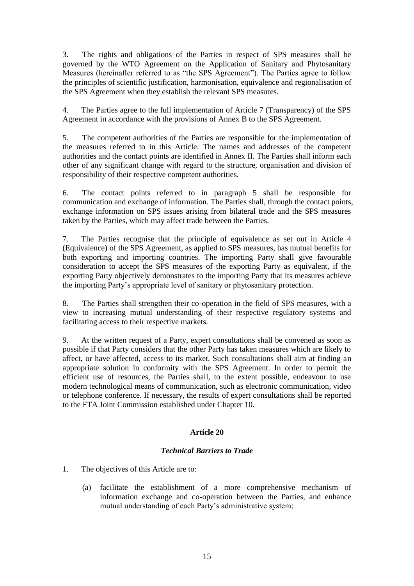3. The rights and obligations of the Parties in respect of SPS measures shall be governed by the WTO Agreement on the Application of Sanitary and Phytosanitary Measures (hereinafter referred to as "the SPS Agreement"). The Parties agree to follow the principles of scientific justification, harmonisation, equivalence and regionalisation of the SPS Agreement when they establish the relevant SPS measures.

4. The Parties agree to the full implementation of Article 7 (Transparency) of the SPS Agreement in accordance with the provisions of Annex B to the SPS Agreement.

5. The competent authorities of the Parties are responsible for the implementation of the measures referred to in this Article. The names and addresses of the competent authorities and the contact points are identified in Annex II. The Parties shall inform each other of any significant change with regard to the structure, organisation and division of responsibility of their respective competent authorities.

6. The contact points referred to in paragraph 5 shall be responsible for communication and exchange of information. The Parties shall, through the contact points, exchange information on SPS issues arising from bilateral trade and the SPS measures taken by the Parties, which may affect trade between the Parties.

7. The Parties recognise that the principle of equivalence as set out in Article 4 (Equivalence) of the SPS Agreement, as applied to SPS measures, has mutual benefits for both exporting and importing countries. The importing Party shall give favourable consideration to accept the SPS measures of the exporting Party as equivalent, if the exporting Party objectively demonstrates to the importing Party that its measures achieve the importing Party's appropriate level of sanitary or phytosanitary protection.

8. The Parties shall strengthen their co-operation in the field of SPS measures, with a view to increasing mutual understanding of their respective regulatory systems and facilitating access to their respective markets.

9. At the written request of a Party, expert consultations shall be convened as soon as possible if that Party considers that the other Party has taken measures which are likely to affect, or have affected, access to its market. Such consultations shall aim at finding an appropriate solution in conformity with the SPS Agreement. In order to permit the efficient use of resources, the Parties shall, to the extent possible, endeavour to use modern technological means of communication, such as electronic communication, video or telephone conference. If necessary, the results of expert consultations shall be reported to the FTA Joint Commission established under Chapter 10.

# **Article 20**

# *Technical Barriers to Trade*

- 1. The objectives of this Article are to:
	- (a) facilitate the establishment of a more comprehensive mechanism of information exchange and co-operation between the Parties, and enhance mutual understanding of each Party's administrative system;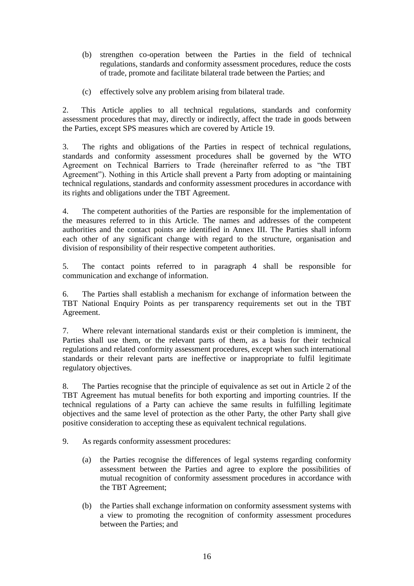- (b) strengthen co-operation between the Parties in the field of technical regulations, standards and conformity assessment procedures, reduce the costs of trade, promote and facilitate bilateral trade between the Parties; and
- (c) effectively solve any problem arising from bilateral trade.

2. This Article applies to all technical regulations, standards and conformity assessment procedures that may, directly or indirectly, affect the trade in goods between the Parties, except SPS measures which are covered by Article 19.

3. The rights and obligations of the Parties in respect of technical regulations, standards and conformity assessment procedures shall be governed by the WTO Agreement on Technical Barriers to Trade (hereinafter referred to as "the TBT Agreement"). Nothing in this Article shall prevent a Party from adopting or maintaining technical regulations, standards and conformity assessment procedures in accordance with its rights and obligations under the TBT Agreement.

4. The competent authorities of the Parties are responsible for the implementation of the measures referred to in this Article. The names and addresses of the competent authorities and the contact points are identified in Annex III. The Parties shall inform each other of any significant change with regard to the structure, organisation and division of responsibility of their respective competent authorities.

5. The contact points referred to in paragraph 4 shall be responsible for communication and exchange of information.

6. The Parties shall establish a mechanism for exchange of information between the TBT National Enquiry Points as per transparency requirements set out in the TBT Agreement.

7. Where relevant international standards exist or their completion is imminent, the Parties shall use them, or the relevant parts of them, as a basis for their technical regulations and related conformity assessment procedures, except when such international standards or their relevant parts are ineffective or inappropriate to fulfil legitimate regulatory objectives.

8. The Parties recognise that the principle of equivalence as set out in Article 2 of the TBT Agreement has mutual benefits for both exporting and importing countries. If the technical regulations of a Party can achieve the same results in fulfilling legitimate objectives and the same level of protection as the other Party, the other Party shall give positive consideration to accepting these as equivalent technical regulations.

- 9. As regards conformity assessment procedures:
	- (a) the Parties recognise the differences of legal systems regarding conformity assessment between the Parties and agree to explore the possibilities of mutual recognition of conformity assessment procedures in accordance with the TBT Agreement;
	- (b) the Parties shall exchange information on conformity assessment systems with a view to promoting the recognition of conformity assessment procedures between the Parties; and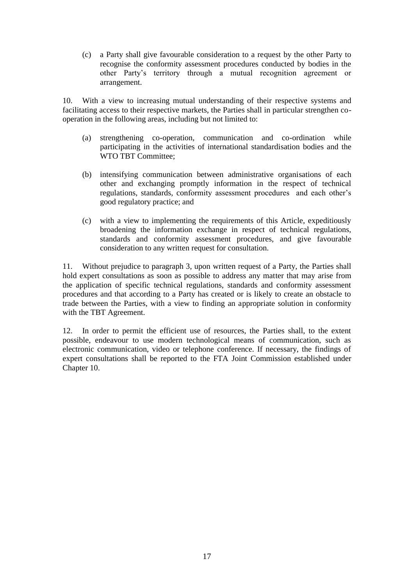(c) a Party shall give favourable consideration to a request by the other Party to recognise the conformity assessment procedures conducted by bodies in the other Party's territory through a mutual recognition agreement or arrangement.

10. With a view to increasing mutual understanding of their respective systems and facilitating access to their respective markets, the Parties shall in particular strengthen cooperation in the following areas, including but not limited to:

- (a) strengthening co-operation, communication and co-ordination while participating in the activities of international standardisation bodies and the WTO TBT Committee;
- (b) intensifying communication between administrative organisations of each other and exchanging promptly information in the respect of technical regulations, standards, conformity assessment procedures and each other's good regulatory practice; and
- (c) with a view to implementing the requirements of this Article, expeditiously broadening the information exchange in respect of technical regulations, standards and conformity assessment procedures, and give favourable consideration to any written request for consultation.

11. Without prejudice to paragraph 3, upon written request of a Party, the Parties shall hold expert consultations as soon as possible to address any matter that may arise from the application of specific technical regulations, standards and conformity assessment procedures and that according to a Party has created or is likely to create an obstacle to trade between the Parties, with a view to finding an appropriate solution in conformity with the TBT Agreement.

12. In order to permit the efficient use of resources, the Parties shall, to the extent possible, endeavour to use modern technological means of communication, such as electronic communication, video or telephone conference. If necessary, the findings of expert consultations shall be reported to the FTA Joint Commission established under Chapter 10.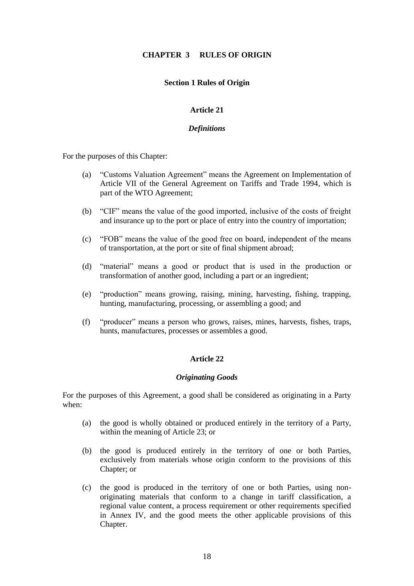# **CHAPTER 3 RULES OF ORIGIN**

### **Section 1 Rules of Origin**

### **Article 21**

### *Definitions*

For the purposes of this Chapter:

- (a) "Customs Valuation Agreement" means the Agreement on Implementation of Article VII of the General Agreement on Tariffs and Trade 1994, which is part of the WTO Agreement;
- (b) "CIF" means the value of the good imported, inclusive of the costs of freight and insurance up to the port or place of entry into the country of importation;
- (c) "FOB" means the value of the good free on board, independent of the means of transportation, at the port or site of final shipment abroad;
- (d) "material" means a good or product that is used in the production or transformation of another good, including a part or an ingredient;
- (e) "production" means growing, raising, mining, harvesting, fishing, trapping, hunting, manufacturing, processing, or assembling a good; and
- (f) "producer" means a person who grows, raises, mines, harvests, fishes, traps, hunts, manufactures, processes or assembles a good.

### **Article 22**

### *Originating Goods*

For the purposes of this Agreement, a good shall be considered as originating in a Party when:

- (a) the good is wholly obtained or produced entirely in the territory of a Party, within the meaning of Article 23; or
- (b) the good is produced entirely in the territory of one or both Parties, exclusively from materials whose origin conform to the provisions of this Chapter; or
- (c) the good is produced in the territory of one or both Parties, using nonoriginating materials that conform to a change in tariff classification, a regional value content, a process requirement or other requirements specified in Annex IV, and the good meets the other applicable provisions of this Chapter.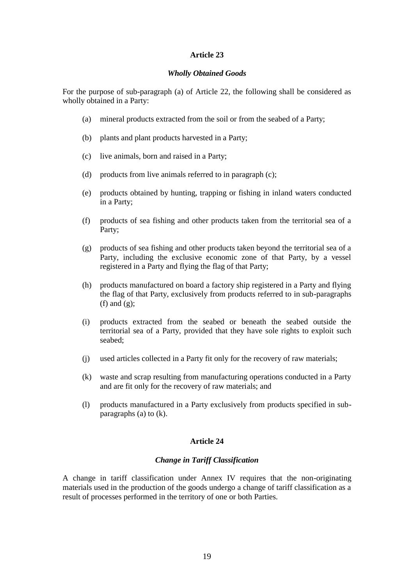# *Wholly Obtained Goods*

For the purpose of sub-paragraph (a) of Article 22, the following shall be considered as wholly obtained in a Party:

- (a) mineral products extracted from the soil or from the seabed of a Party;
- (b) plants and plant products harvested in a Party;
- (c) live animals, born and raised in a Party;
- (d) products from live animals referred to in paragraph (c);
- (e) products obtained by hunting, trapping or fishing in inland waters conducted in a Party;
- (f) products of sea fishing and other products taken from the territorial sea of a Party;
- (g) products of sea fishing and other products taken beyond the territorial sea of a Party, including the exclusive economic zone of that Party, by a vessel registered in a Party and flying the flag of that Party;
- (h) products manufactured on board a factory ship registered in a Party and flying the flag of that Party, exclusively from products referred to in sub-paragraphs (f) and  $(g)$ ;
- (i) products extracted from the seabed or beneath the seabed outside the territorial sea of a Party, provided that they have sole rights to exploit such seabed;
- (j) used articles collected in a Party fit only for the recovery of raw materials;
- (k) waste and scrap resulting from manufacturing operations conducted in a Party and are fit only for the recovery of raw materials; and
- (l) products manufactured in a Party exclusively from products specified in subparagraphs (a) to (k).

### **Article 24**

### *Change in Tariff Classification*

A change in tariff classification under Annex IV requires that the non-originating materials used in the production of the goods undergo a change of tariff classification as a result of processes performed in the territory of one or both Parties.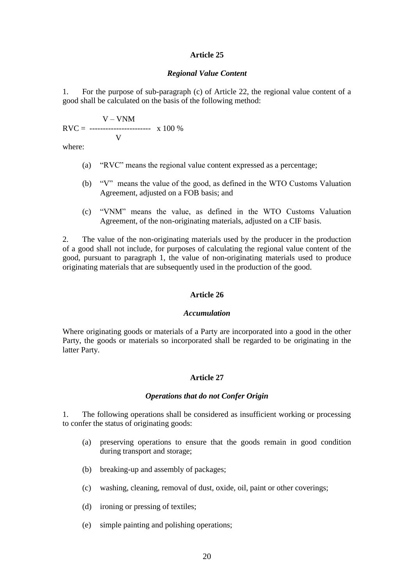#### *Regional Value Content*

1. For the purpose of sub-paragraph (c) of Article 22, the regional value content of a good shall be calculated on the basis of the following method:

 $V - VNM$  $RVC =$  ----------------------- x 100 % V

where:

- (a) "RVC" means the regional value content expressed as a percentage;
- (b) "V" means the value of the good, as defined in the WTO Customs Valuation Agreement, adjusted on a FOB basis; and
- (c) "VNM" means the value, as defined in the WTO Customs Valuation Agreement, of the non-originating materials, adjusted on a CIF basis.

2. The value of the non-originating materials used by the producer in the production of a good shall not include, for purposes of calculating the regional value content of the good, pursuant to paragraph 1, the value of non-originating materials used to produce originating materials that are subsequently used in the production of the good.

### **Article 26**

### *Accumulation*

Where originating goods or materials of a Party are incorporated into a good in the other Party, the goods or materials so incorporated shall be regarded to be originating in the latter Party.

# **Article 27**

#### *Operations that do not Confer Origin*

1. The following operations shall be considered as insufficient working or processing to confer the status of originating goods:

- (a) preserving operations to ensure that the goods remain in good condition during transport and storage;
- (b) breaking-up and assembly of packages;
- (c) washing, cleaning, removal of dust, oxide, oil, paint or other coverings;
- (d) ironing or pressing of textiles;
- (e) simple painting and polishing operations;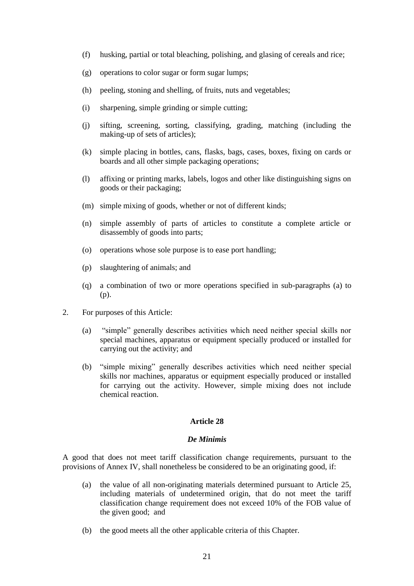- (f) husking, partial or total bleaching, polishing, and glasing of cereals and rice;
- (g) operations to color sugar or form sugar lumps;
- (h) peeling, stoning and shelling, of fruits, nuts and vegetables;
- (i) sharpening, simple grinding or simple cutting;
- (j) sifting, screening, sorting, classifying, grading, matching (including the making-up of sets of articles);
- (k) simple placing in bottles, cans, flasks, bags, cases, boxes, fixing on cards or boards and all other simple packaging operations;
- (l) affixing or printing marks, labels, logos and other like distinguishing signs on goods or their packaging;
- (m) simple mixing of goods, whether or not of different kinds;
- (n) simple assembly of parts of articles to constitute a complete article or disassembly of goods into parts;
- (o) operations whose sole purpose is to ease port handling;
- (p) slaughtering of animals; and
- (q) a combination of two or more operations specified in sub-paragraphs (a) to (p).
- 2. For purposes of this Article:
	- (a) "simple" generally describes activities which need neither special skills nor special machines, apparatus or equipment specially produced or installed for carrying out the activity; and
	- (b) "simple mixing" generally describes activities which need neither special skills nor machines, apparatus or equipment especially produced or installed for carrying out the activity. However, simple mixing does not include chemical reaction.

#### *De Minimis*

A good that does not meet tariff classification change requirements, pursuant to the provisions of Annex IV, shall nonetheless be considered to be an originating good, if:

- (a) the value of all non-originating materials determined pursuant to Article 25, including materials of undetermined origin, that do not meet the tariff classification change requirement does not exceed 10% of the FOB value of the given good; and
- (b) the good meets all the other applicable criteria of this Chapter.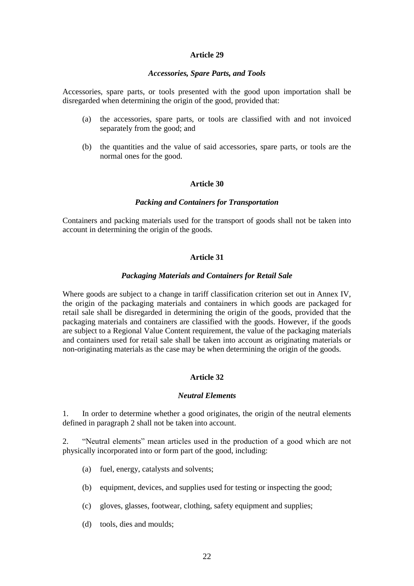#### *Accessories, Spare Parts, and Tools*

Accessories, spare parts, or tools presented with the good upon importation shall be disregarded when determining the origin of the good, provided that:

- (a) the accessories, spare parts, or tools are classified with and not invoiced separately from the good; and
- (b) the quantities and the value of said accessories, spare parts, or tools are the normal ones for the good.

#### **Article 30**

### *Packing and Containers for Transportation*

Containers and packing materials used for the transport of goods shall not be taken into account in determining the origin of the goods.

### **Article 31**

#### *Packaging Materials and Containers for Retail Sale*

Where goods are subject to a change in tariff classification criterion set out in Annex IV, the origin of the packaging materials and containers in which goods are packaged for retail sale shall be disregarded in determining the origin of the goods, provided that the packaging materials and containers are classified with the goods. However, if the goods are subject to a Regional Value Content requirement, the value of the packaging materials and containers used for retail sale shall be taken into account as originating materials or non-originating materials as the case may be when determining the origin of the goods.

# **Article 32**

### *Neutral Elements*

1. In order to determine whether a good originates, the origin of the neutral elements defined in paragraph 2 shall not be taken into account.

2. "Neutral elements" mean articles used in the production of a good which are not physically incorporated into or form part of the good, including:

- (a) fuel, energy, catalysts and solvents;
- (b) equipment, devices, and supplies used for testing or inspecting the good;
- (c) gloves, glasses, footwear, clothing, safety equipment and supplies;
- (d) tools, dies and moulds;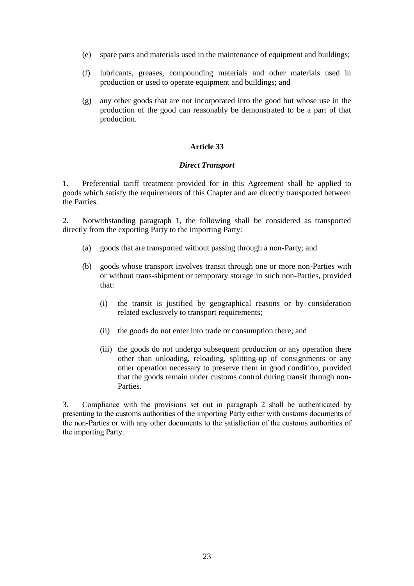- (e) spare parts and materials used in the maintenance of equipment and buildings;
- (f) lubricants, greases, compounding materials and other materials used in production or used to operate equipment and buildings; and
- (g) any other goods that are not incorporated into the good but whose use in the production of the good can reasonably be demonstrated to be a part of that production.

### *Direct Transport*

1. Preferential tariff treatment provided for in this Agreement shall be applied to goods which satisfy the requirements of this Chapter and are directly transported between the Parties.

2. Notwithstanding paragraph 1, the following shall be considered as transported directly from the exporting Party to the importing Party:

- (a) goods that are transported without passing through a non-Party; and
- (b) goods whose transport involves transit through one or more non-Parties with or without trans-shipment or temporary storage in such non-Parties, provided that:
	- (i) the transit is justified by geographical reasons or by consideration related exclusively to transport requirements;
	- (ii) the goods do not enter into trade or consumption there; and
	- (iii) the goods do not undergo subsequent production or any operation there other than unloading, reloading, splitting-up of consignments or any other operation necessary to preserve them in good condition, provided that the goods remain under customs control during transit through non-Parties.

3. Compliance with the provisions set out in paragraph 2 shall be authenticated by presenting to the customs authorities of the importing Party either with customs documents of the non-Parties or with any other documents to the satisfaction of the customs authorities of the importing Party.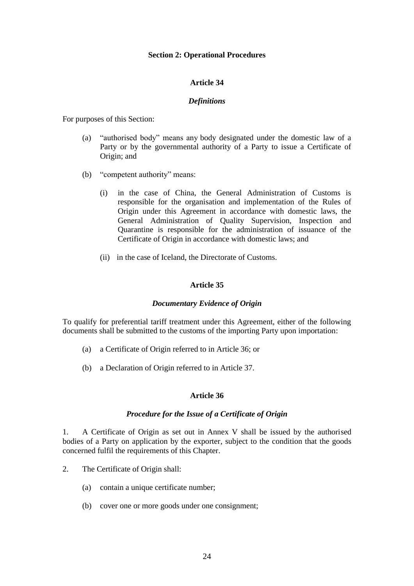### **Section 2: Operational Procedures**

# **Article 34**

### *Definitions*

For purposes of this Section:

- (a) "authorised body" means any body designated under the domestic law of a Party or by the governmental authority of a Party to issue a Certificate of Origin; and
- (b) "competent authority" means:
	- (i) in the case of China, the General Administration of Customs is responsible for the organisation and implementation of the Rules of Origin under this Agreement in accordance with domestic laws, the General Administration of Quality Supervision, Inspection and Quarantine is responsible for the administration of issuance of the Certificate of Origin in accordance with domestic laws; and
	- (ii) in the case of Iceland, the Directorate of Customs.

# **Article 35**

### *Documentary Evidence of Origin*

To qualify for preferential tariff treatment under this Agreement, either of the following documents shall be submitted to the customs of the importing Party upon importation:

- (a) a Certificate of Origin referred to in Article 36; or
- (b) a Declaration of Origin referred to in Article 37.

# **Article 36**

### *Procedure for the Issue of a Certificate of Origin*

1. A Certificate of Origin as set out in Annex V shall be issued by the authorised bodies of a Party on application by the exporter, subject to the condition that the goods concerned fulfil the requirements of this Chapter.

- 2. The Certificate of Origin shall:
	- (a) contain a unique certificate number;
	- (b) cover one or more goods under one consignment;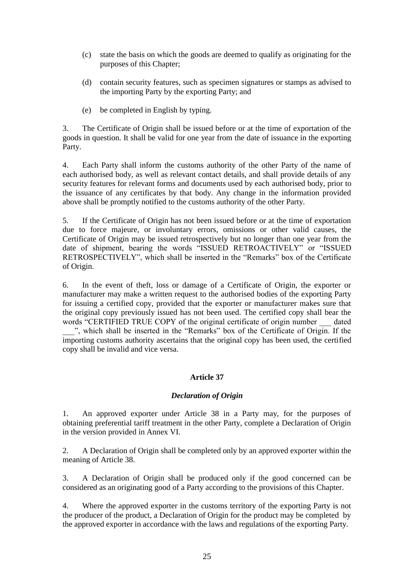- (c) state the basis on which the goods are deemed to qualify as originating for the purposes of this Chapter;
- (d) contain security features, such as specimen signatures or stamps as advised to the importing Party by the exporting Party; and
- (e) be completed in English by typing.

3. The Certificate of Origin shall be issued before or at the time of exportation of the goods in question. It shall be valid for one year from the date of issuance in the exporting Party.

4. Each Party shall inform the customs authority of the other Party of the name of each authorised body, as well as relevant contact details, and shall provide details of any security features for relevant forms and documents used by each authorised body, prior to the issuance of any certificates by that body. Any change in the information provided above shall be promptly notified to the customs authority of the other Party.

5. If the Certificate of Origin has not been issued before or at the time of exportation due to force majeure, or involuntary errors, omissions or other valid causes, the Certificate of Origin may be issued retrospectively but no longer than one year from the date of shipment, bearing the words "ISSUED RETROACTIVELY" or "ISSUED RETROSPECTIVELY", which shall be inserted in the "Remarks" box of the Certificate of Origin.

6. In the event of theft, loss or damage of a Certificate of Origin, the exporter or manufacturer may make a written request to the authorised bodies of the exporting Party for issuing a certified copy, provided that the exporter or manufacturer makes sure that the original copy previously issued has not been used. The certified copy shall bear the words "CERTIFIED TRUE COPY of the original certificate of origin number dated \_\_\_", which shall be inserted in the "Remarks" box of the Certificate of Origin. If the importing customs authority ascertains that the original copy has been used, the certified copy shall be invalid and vice versa.

### **Article 37**

### *Declaration of Origin*

1. An approved exporter under Article 38 in a Party may, for the purposes of obtaining preferential tariff treatment in the other Party, complete a Declaration of Origin in the version provided in Annex VI.

2. A Declaration of Origin shall be completed only by an approved exporter within the meaning of Article 38.

3. A Declaration of Origin shall be produced only if the good concerned can be considered as an originating good of a Party according to the provisions of this Chapter.

4. Where the approved exporter in the customs territory of the exporting Party is not the producer of the product, a Declaration of Origin for the product may be completed by the approved exporter in accordance with the laws and regulations of the exporting Party.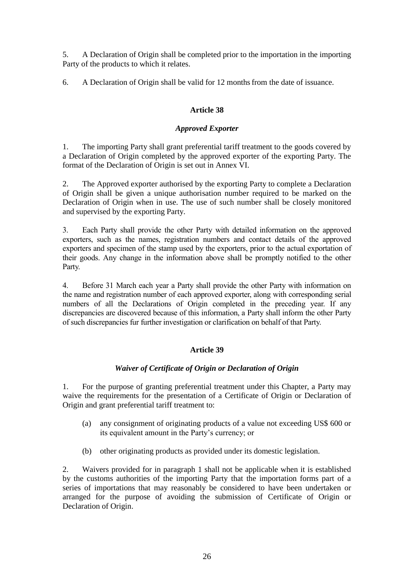5. A Declaration of Origin shall be completed prior to the importation in the importing Party of the products to which it relates.

6. A Declaration of Origin shall be valid for 12 monthsfrom the date of issuance.

# **Article 38**

# *Approved Exporter*

1. The importing Party shall grant preferential tariff treatment to the goods covered by a Declaration of Origin completed by the approved exporter of the exporting Party. The format of the Declaration of Origin is set out in Annex VI.

2. The Approved exporter authorised by the exporting Party to complete a Declaration of Origin shall be given a unique authorisation number required to be marked on the Declaration of Origin when in use. The use of such number shall be closely monitored and supervised by the exporting Party.

3. Each Party shall provide the other Party with detailed information on the approved exporters, such as the names, registration numbers and contact details of the approved exporters and specimen of the stamp used by the exporters, prior to the actual exportation of their goods. Any change in the information above shall be promptly notified to the other Party.

4. Before 31 March each year a Party shall provide the other Party with information on the name and registration number of each approved exporter, along with corresponding serial numbers of all the Declarations of Origin completed in the preceding year. If any discrepancies are discovered because of this information, a Party shall inform the other Party of such discrepancies fur further investigation or clarification on behalf of that Party.

# **Article 39**

# *Waiver of Certificate of Origin or Declaration of Origin*

1. For the purpose of granting preferential treatment under this Chapter, a Party may waive the requirements for the presentation of a Certificate of Origin or Declaration of Origin and grant preferential tariff treatment to:

- (a) any consignment of originating products of a value not exceeding US\$ 600 or its equivalent amount in the Party's currency; or
- (b) other originating products as provided under its domestic legislation.

2. Waivers provided for in paragraph 1 shall not be applicable when it is established by the customs authorities of the importing Party that the importation forms part of a series of importations that may reasonably be considered to have been undertaken or arranged for the purpose of avoiding the submission of Certificate of Origin or Declaration of Origin.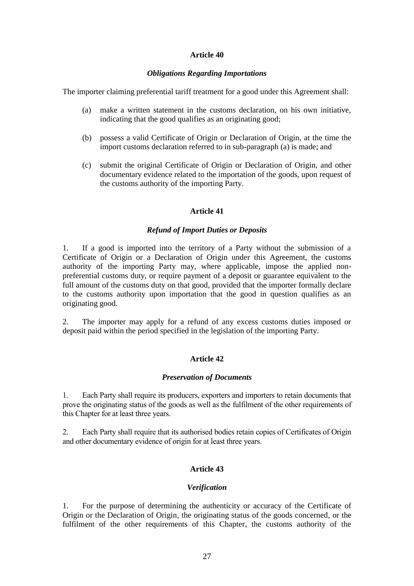### *Obligations Regarding Importations*

The importer claiming preferential tariff treatment for a good under this Agreement shall:

- (a) make a written statement in the customs declaration, on his own initiative, indicating that the good qualifies as an originating good;
- (b) possess a valid Certificate of Origin or Declaration of Origin, at the time the import customs declaration referred to in sub-paragraph (a) is made; and
- (c) submit the original Certificate of Origin or Declaration of Origin, and other documentary evidence related to the importation of the goods, upon request of the customs authority of the importing Party.

# **Article 41**

# *Refund of Import Duties or Deposits*

1. If a good is imported into the territory of a Party without the submission of a Certificate of Origin or a Declaration of Origin under this Agreement, the customs authority of the importing Party may, where applicable, impose the applied nonpreferential customs duty, or require payment of a deposit or guarantee equivalent to the full amount of the customs duty on that good, provided that the importer formally declare to the customs authority upon importation that the good in question qualifies as an originating good.

2. The importer may apply for a refund of any excess customs duties imposed or deposit paid within the period specified in the legislation of the importing Party.

# **Article 42**

### *Preservation of Documents*

1. Each Party shall require its producers, exporters and importers to retain documents that prove the originating status of the goods as well as the fulfilment of the other requirements of this Chapter for at least three years.

2. Each Party shall require that its authorised bodies retain copies of Certificates of Origin and other documentary evidence of origin for at least three years.

# **Article 43**

### *Verification*

1. For the purpose of determining the authenticity or accuracy of the Certificate of Origin or the Declaration of Origin, the originating status of the goods concerned, or the fulfilment of the other requirements of this Chapter, the customs authority of the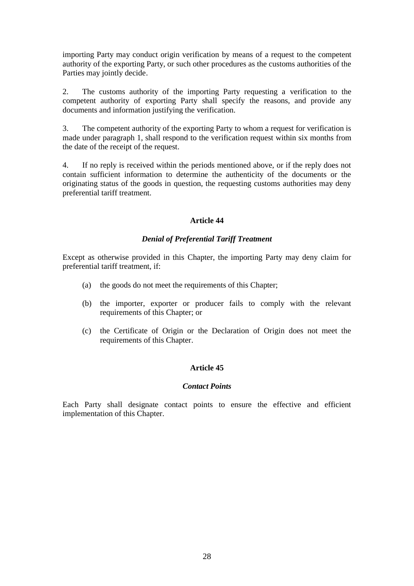importing Party may conduct origin verification by means of a request to the competent authority of the exporting Party, or such other procedures as the customs authorities of the Parties may jointly decide.

2. The customs authority of the importing Party requesting a verification to the competent authority of exporting Party shall specify the reasons, and provide any documents and information justifying the verification.

3. The competent authority of the exporting Party to whom a request for verification is made under paragraph 1, shall respond to the verification request within six months from the date of the receipt of the request.

4. If no reply is received within the periods mentioned above, or if the reply does not contain sufficient information to determine the authenticity of the documents or the originating status of the goods in question, the requesting customs authorities may deny preferential tariff treatment.

# **Article 44**

# *Denial of Preferential Tariff Treatment*

Except as otherwise provided in this Chapter, the importing Party may deny claim for preferential tariff treatment, if:

- (a) the goods do not meet the requirements of this Chapter;
- (b) the importer, exporter or producer fails to comply with the relevant requirements of this Chapter; or
- (c) the Certificate of Origin or the Declaration of Origin does not meet the requirements of this Chapter.

# **Article 45**

# *Contact Points*

Each Party shall designate contact points to ensure the effective and efficient implementation of this Chapter.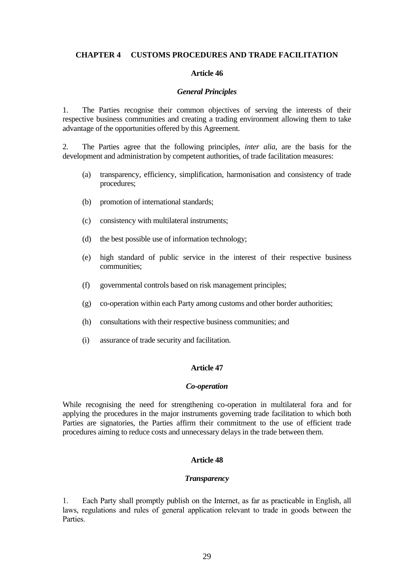### **CHAPTER 4 CUSTOMS PROCEDURES AND TRADE FACILITATION**

# **Article 46**

#### *General Principles*

1. The Parties recognise their common objectives of serving the interests of their respective business communities and creating a trading environment allowing them to take advantage of the opportunities offered by this Agreement.

2. The Parties agree that the following principles, *inter alia*, are the basis for the development and administration by competent authorities, of trade facilitation measures:

- (a) transparency, efficiency, simplification, harmonisation and consistency of trade procedures;
- (b) promotion of international standards;
- (c) consistency with multilateral instruments;
- (d) the best possible use of information technology;
- (e) high standard of public service in the interest of their respective business communities;
- (f) governmental controls based on risk management principles;
- (g) co-operation within each Party among customs and other border authorities;
- (h) consultations with their respective business communities; and
- (i) assurance of trade security and facilitation.

### **Article 47**

#### *Co-operation*

While recognising the need for strengthening co-operation in multilateral fora and for applying the procedures in the major instruments governing trade facilitation to which both Parties are signatories, the Parties affirm their commitment to the use of efficient trade procedures aiming to reduce costs and unnecessary delays in the trade between them.

### **Article 48**

#### *Transparency*

1. Each Party shall promptly publish on the Internet, as far as practicable in English, all laws, regulations and rules of general application relevant to trade in goods between the Parties.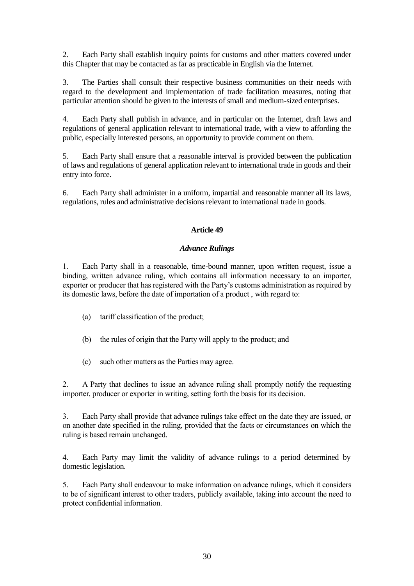2. Each Party shall establish inquiry points for customs and other matters covered under this Chapter that may be contacted as far as practicable in English via the Internet.

3. The Parties shall consult their respective business communities on their needs with regard to the development and implementation of trade facilitation measures, noting that particular attention should be given to the interests of small and medium-sized enterprises.

4. Each Party shall publish in advance, and in particular on the Internet, draft laws and regulations of general application relevant to international trade, with a view to affording the public, especially interested persons, an opportunity to provide comment on them.

5. Each Party shall ensure that a reasonable interval is provided between the publication of laws and regulations of general application relevant to international trade in goods and their entry into force.

6. Each Party shall administer in a uniform, impartial and reasonable manner all its laws, regulations, rules and administrative decisions relevant to international trade in goods.

# **Article 49**

# *Advance Rulings*

1. Each Party shall in a reasonable, time-bound manner, upon written request, issue a binding, written advance ruling, which contains all information necessary to an importer, exporter or producer that has registered with the Party's customs administration as required by its domestic laws, before the date of importation of a product , with regard to:

- (a) tariff classification of the product;
- (b) the rules of origin that the Party will apply to the product; and
- (c) such other matters as the Parties may agree.

2. A Party that declines to issue an advance ruling shall promptly notify the requesting importer, producer or exporter in writing, setting forth the basis for its decision.

3. Each Party shall provide that advance rulings take effect on the date they are issued, or on another date specified in the ruling, provided that the facts or circumstances on which the ruling is based remain unchanged.

4. Each Party may limit the validity of advance rulings to a period determined by domestic legislation.

5. Each Party shall endeavour to make information on advance rulings, which it considers to be of significant interest to other traders, publicly available, taking into account the need to protect confidential information.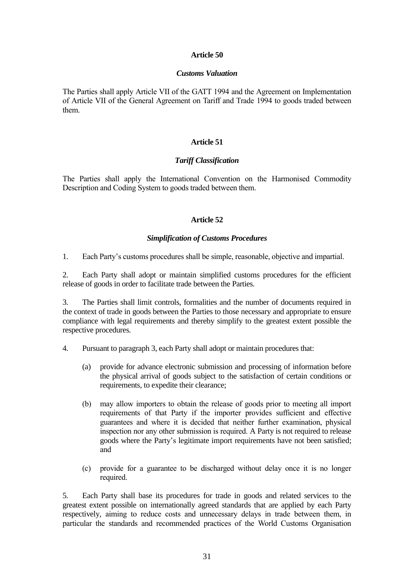# *Customs Valuation*

The Parties shall apply Article VII of the GATT 1994 and the Agreement on Implementation of Article VII of the General Agreement on Tariff and Trade 1994 to goods traded between them.

# **Article 51**

# *Tariff Classification*

The Parties shall apply the International Convention on the Harmonised Commodity Description and Coding System to goods traded between them.

# **Article 52**

# *Simplification of Customs Procedures*

1. Each Party's customs procedures shall be simple, reasonable, objective and impartial.

2. Each Party shall adopt or maintain simplified customs procedures for the efficient release of goods in order to facilitate trade between the Parties.

3. The Parties shall limit controls, formalities and the number of documents required in the context of trade in goods between the Parties to those necessary and appropriate to ensure compliance with legal requirements and thereby simplify to the greatest extent possible the respective procedures.

- 4. Pursuant to paragraph 3, each Party shall adopt or maintain procedures that:
	- (a) provide for advance electronic submission and processing of information before the physical arrival of goods subject to the satisfaction of certain conditions or requirements, to expedite their clearance;
	- (b) may allow importers to obtain the release of goods prior to meeting all import requirements of that Party if the importer provides sufficient and effective guarantees and where it is decided that neither further examination, physical inspection nor any other submission is required. A Party is not required to release goods where the Party's legitimate import requirements have not been satisfied; and
	- (c) provide for a guarantee to be discharged without delay once it is no longer required.

5. Each Party shall base its procedures for trade in goods and related services to the greatest extent possible on internationally agreed standards that are applied by each Party respectively, aiming to reduce costs and unnecessary delays in trade between them, in particular the standards and recommended practices of the World Customs Organisation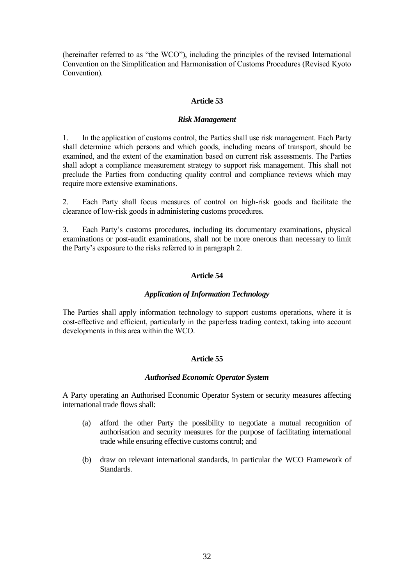(hereinafter referred to as "the WCO"), including the principles of the revised International Convention on the Simplification and Harmonisation of Customs Procedures (Revised Kyoto Convention).

# **Article 53**

### *Risk Management*

1. In the application of customs control, the Parties shall use risk management. Each Party shall determine which persons and which goods, including means of transport, should be examined, and the extent of the examination based on current risk assessments. The Parties shall adopt a compliance measurement strategy to support risk management. This shall not preclude the Parties from conducting quality control and compliance reviews which may require more extensive examinations.

2. Each Party shall focus measures of control on high-risk goods and facilitate the clearance of low-risk goods in administering customs procedures.

3. Each Party's customs procedures, including its documentary examinations, physical examinations or post-audit examinations, shall not be more onerous than necessary to limit the Party's exposure to the risks referred to in paragraph 2.

# **Article 54**

### *Application of Information Technology*

The Parties shall apply information technology to support customs operations, where it is cost-effective and efficient, particularly in the paperless trading context, taking into account developments in this area within the WCO.

# **Article 55**

### *Authorised Economic Operator System*

A Party operating an Authorised Economic Operator System or security measures affecting international trade flows shall:

- (a) afford the other Party the possibility to negotiate a mutual recognition of authorisation and security measures for the purpose of facilitating international trade while ensuring effective customs control; and
- (b) draw on relevant international standards, in particular the WCO Framework of Standards.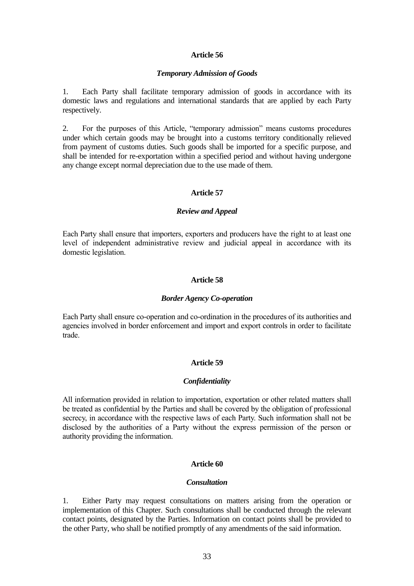### *Temporary Admission of Goods*

1. Each Party shall facilitate temporary admission of goods in accordance with its domestic laws and regulations and international standards that are applied by each Party respectively.

2. For the purposes of this Article, "temporary admission" means customs procedures under which certain goods may be brought into a customs territory conditionally relieved from payment of customs duties. Such goods shall be imported for a specific purpose, and shall be intended for re-exportation within a specified period and without having undergone any change except normal depreciation due to the use made of them.

#### **Article 57**

#### *Review and Appeal*

Each Party shall ensure that importers, exporters and producers have the right to at least one level of independent administrative review and judicial appeal in accordance with its domestic legislation.

### **Article 58**

#### *Border Agency Co-operation*

Each Party shall ensure co-operation and co-ordination in the procedures of its authorities and agencies involved in border enforcement and import and export controls in order to facilitate trade.

#### **Article 59**

### *Confidentiality*

All information provided in relation to importation, exportation or other related matters shall be treated as confidential by the Parties and shall be covered by the obligation of professional secrecy, in accordance with the respective laws of each Party. Such information shall not be disclosed by the authorities of a Party without the express permission of the person or authority providing the information.

### **Article 60**

#### *Consultation*

1. Either Party may request consultations on matters arising from the operation or implementation of this Chapter. Such consultations shall be conducted through the relevant contact points, designated by the Parties. Information on contact points shall be provided to the other Party, who shall be notified promptly of any amendments of the said information.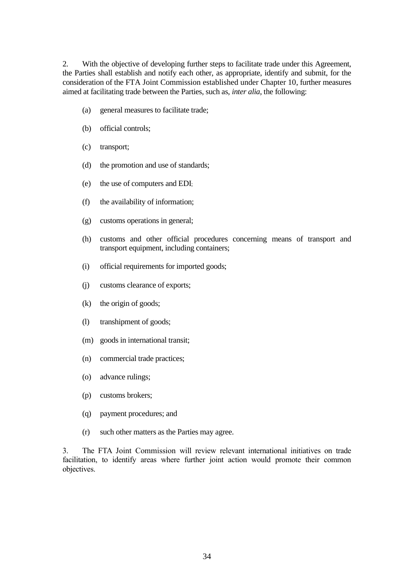2. With the objective of developing further steps to facilitate trade under this Agreement, the Parties shall establish and notify each other, as appropriate, identify and submit, for the consideration of the FTA Joint Commission established under Chapter 10, further measures aimed at facilitating trade between the Parties, such as, *inter alia*, the following:

- (a) general measures to facilitate trade;
- (b) official controls;
- (c) transport;
- (d) the promotion and use of standards;
- (e) the use of computers and EDI;
- (f) the availability of information;
- (g) customs operations in general;
- (h) customs and other official procedures concerning means of transport and transport equipment, including containers;
- (i) official requirements for imported goods;
- (j) customs clearance of exports;
- (k) the origin of goods;
- (l) transhipment of goods;
- (m) goods in international transit;
- (n) commercial trade practices;
- (o) advance rulings;
- (p) customs brokers;
- (q) payment procedures; and
- (r) such other matters as the Parties may agree.

3. The FTA Joint Commission will review relevant international initiatives on trade facilitation, to identify areas where further joint action would promote their common objectives.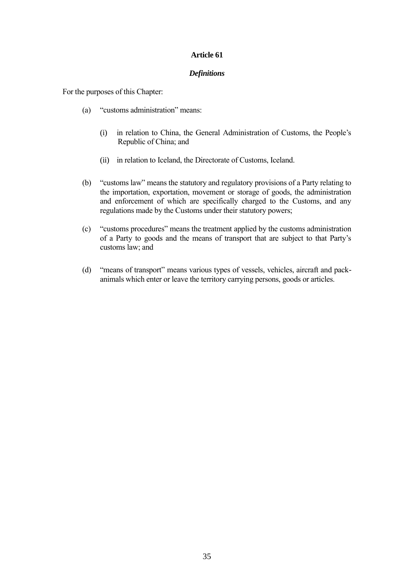# *Definitions*

For the purposes of this Chapter:

- (a) "customs administration" means:
	- (i) in relation to China, the General Administration of Customs, the People's Republic of China; and
	- (ii) in relation to Iceland, the Directorate of Customs, Iceland.
- (b) "customs law" means the statutory and regulatory provisions of a Party relating to the importation, exportation, movement or storage of goods, the administration and enforcement of which are specifically charged to the Customs, and any regulations made by the Customs under their statutory powers;
- (c) "customs procedures" means the treatment applied by the customs administration of a Party to goods and the means of transport that are subject to that Party's customs law; and
- (d) "means of transport" means various types of vessels, vehicles, aircraft and packanimals which enter or leave the territory carrying persons, goods or articles.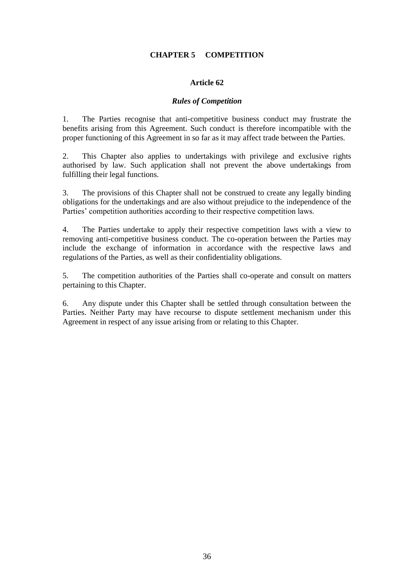# **CHAPTER 5 COMPETITION**

# **Article 62**

### *Rules of Competition*

1. The Parties recognise that anti-competitive business conduct may frustrate the benefits arising from this Agreement. Such conduct is therefore incompatible with the proper functioning of this Agreement in so far as it may affect trade between the Parties.

2. This Chapter also applies to undertakings with privilege and exclusive rights authorised by law. Such application shall not prevent the above undertakings from fulfilling their legal functions.

3. The provisions of this Chapter shall not be construed to create any legally binding obligations for the undertakings and are also without prejudice to the independence of the Parties' competition authorities according to their respective competition laws.

4. The Parties undertake to apply their respective competition laws with a view to removing anti-competitive business conduct. The co-operation between the Parties may include the exchange of information in accordance with the respective laws and regulations of the Parties, as well as their confidentiality obligations.

5. The competition authorities of the Parties shall co-operate and consult on matters pertaining to this Chapter.

6. Any dispute under this Chapter shall be settled through consultation between the Parties. Neither Party may have recourse to dispute settlement mechanism under this Agreement in respect of any issue arising from or relating to this Chapter.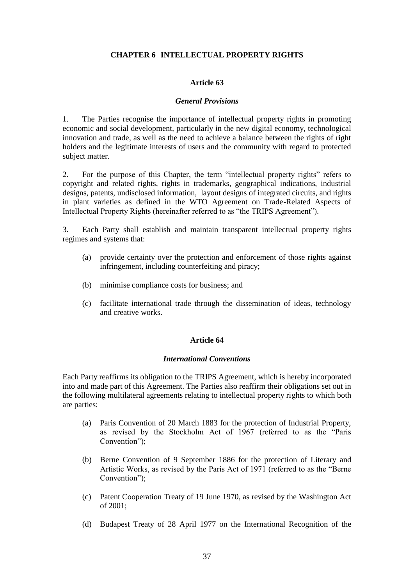# **CHAPTER 6 INTELLECTUAL PROPERTY RIGHTS**

### **Article 63**

### *General Provisions*

1. The Parties recognise the importance of intellectual property rights in promoting economic and social development, particularly in the new digital economy, technological innovation and trade, as well as the need to achieve a balance between the rights of right holders and the legitimate interests of users and the community with regard to protected subject matter.

2. For the purpose of this Chapter, the term "intellectual property rights" refers to copyright and related rights, rights in trademarks, geographical indications, industrial designs, patents, undisclosed information, layout designs of integrated circuits, and rights in plant varieties as defined in the WTO Agreement on Trade-Related Aspects of Intellectual Property Rights (hereinafter referred to as "the TRIPS Agreement").

3. Each Party shall establish and maintain transparent intellectual property rights regimes and systems that:

- (a) provide certainty over the protection and enforcement of those rights against infringement, including counterfeiting and piracy;
- (b) minimise compliance costs for business; and
- (c) facilitate international trade through the dissemination of ideas, technology and creative works.

### **Article 64**

#### *International Conventions*

Each Party reaffirms its obligation to the TRIPS Agreement, which is hereby incorporated into and made part of this Agreement. The Parties also reaffirm their obligations set out in the following multilateral agreements relating to intellectual property rights to which both are parties:

- (a) Paris Convention of 20 March 1883 for the protection of Industrial Property, as revised by the Stockholm Act of 1967 (referred to as the "Paris Convention");
- (b) Berne Convention of 9 September 1886 for the protection of Literary and Artistic Works, as revised by the Paris Act of 1971 (referred to as the "Berne Convention");
- (c) Patent Cooperation Treaty of 19 June 1970, as revised by the Washington Act of 2001;
- (d) Budapest Treaty of 28 April 1977 on the International Recognition of the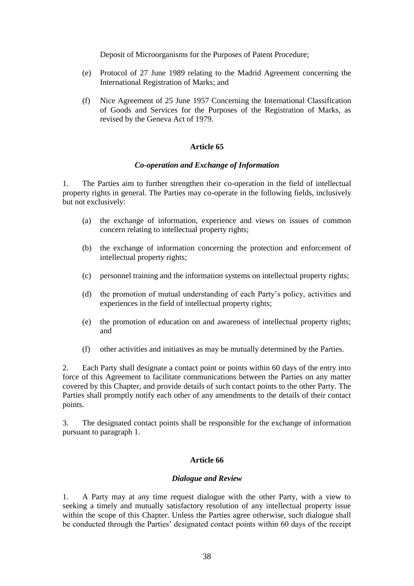Deposit of Microorganisms for the Purposes of Patent Procedure;

- (e) Protocol of 27 June 1989 relating to the Madrid Agreement concerning the International Registration of Marks; and
- (f) Nice Agreement of 25 June 1957 Concerning the International Classification of Goods and Services for the Purposes of the Registration of Marks, as revised by the Geneva Act of 1979.

# **Article 65**

# *Co-operation and Exchange of Information*

1. The Parties aim to further strengthen their co-operation in the field of intellectual property rights in general. The Parties may co-operate in the following fields, inclusively but not exclusively:

- (a) the exchange of information, experience and views on issues of common concern relating to intellectual property rights;
- (b) the exchange of information concerning the protection and enforcement of intellectual property rights;
- (c) personnel training and the information systems on intellectual property rights;
- (d) the promotion of mutual understanding of each Party's policy, activities and experiences in the field of intellectual property rights;
- (e) the promotion of education on and awareness of intellectual property rights; and
- (f) other activities and initiatives as may be mutually determined by the Parties.

2. Each Party shall designate a contact point or points within 60 days of the entry into force of this Agreement to facilitate communications between the Parties on any matter covered by this Chapter, and provide details of such contact points to the other Party. The Parties shall promptly notify each other of any amendments to the details of their contact points.

3. The designated contact points shall be responsible for the exchange of information pursuant to paragraph 1.

# **Article 66**

### *Dialogue and Review*

1. A Party may at any time request dialogue with the other Party, with a view to seeking a timely and mutually satisfactory resolution of any intellectual property issue within the scope of this Chapter. Unless the Parties agree otherwise, such dialogue shall be conducted through the Parties' designated contact points within 60 days of the receipt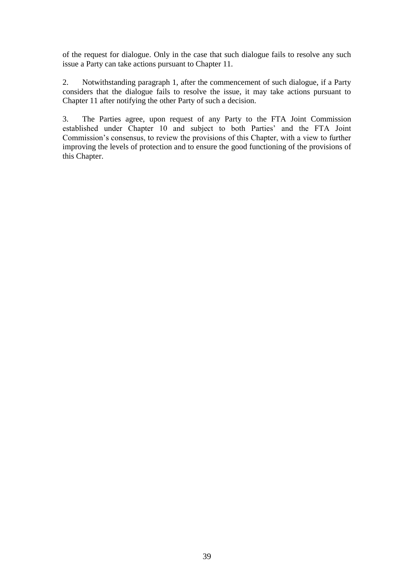of the request for dialogue. Only in the case that such dialogue fails to resolve any such issue a Party can take actions pursuant to Chapter 11.

2. Notwithstanding paragraph 1, after the commencement of such dialogue, if a Party considers that the dialogue fails to resolve the issue, it may take actions pursuant to Chapter 11 after notifying the other Party of such a decision.

3. The Parties agree, upon request of any Party to the FTA Joint Commission established under Chapter 10 and subject to both Parties' and the FTA Joint Commission's consensus, to review the provisions of this Chapter, with a view to further improving the levels of protection and to ensure the good functioning of the provisions of this Chapter.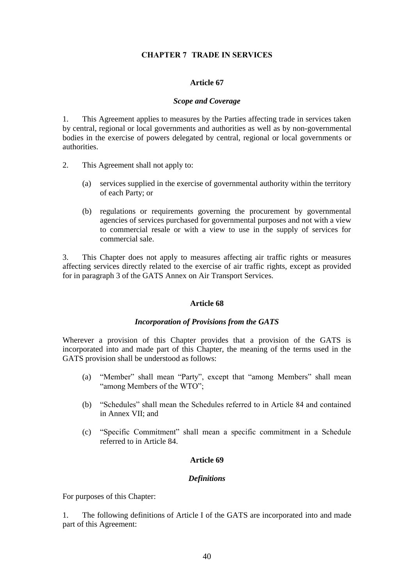# **CHAPTER 7 TRADE IN SERVICES**

### **Article 67**

### *Scope and Coverage*

1. This Agreement applies to measures by the Parties affecting trade in services taken by central, regional or local governments and authorities as well as by non-governmental bodies in the exercise of powers delegated by central, regional or local governments or authorities.

- 2. This Agreement shall not apply to:
	- (a) services supplied in the exercise of governmental authority within the territory of each Party; or
	- (b) regulations or requirements governing the procurement by governmental agencies of services purchased for governmental purposes and not with a view to commercial resale or with a view to use in the supply of services for commercial sale.

3. This Chapter does not apply to measures affecting air traffic rights or measures affecting services directly related to the exercise of air traffic rights, except as provided for in paragraph 3 of the GATS Annex on Air Transport Services.

### **Article 68**

### *Incorporation of Provisions from the GATS*

Wherever a provision of this Chapter provides that a provision of the GATS is incorporated into and made part of this Chapter, the meaning of the terms used in the GATS provision shall be understood as follows:

- (a) "Member" shall mean "Party", except that "among Members" shall mean "among Members of the WTO";
- (b) "Schedules" shall mean the Schedules referred to in Article 84 and contained in Annex VII; and
- (c) "Specific Commitment" shall mean a specific commitment in a Schedule referred to in Article 84.

# **Article 69**

# *Definitions*

For purposes of this Chapter:

1. The following definitions of Article I of the GATS are incorporated into and made part of this Agreement: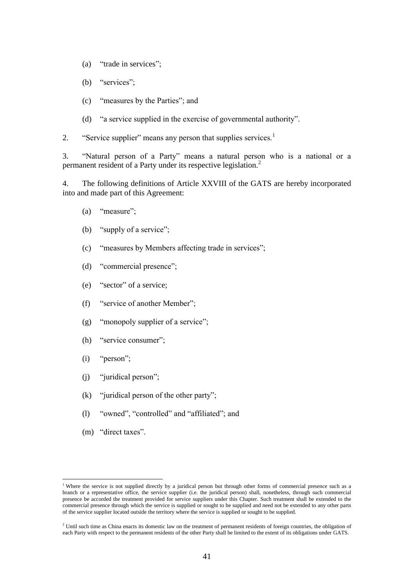- (a) "trade in services";
- (b) "services";
- (c) "measures by the Parties"; and
- (d) "a service supplied in the exercise of governmental authority".
- 2. "Service supplier" means any person that supplies services.<sup>1</sup>

3. "Natural person of a Party" means a natural person who is a national or a permanent resident of a Party under its respective legislation.<sup>2</sup>

4. The following definitions of Article XXVIII of the GATS are hereby incorporated into and made part of this Agreement:

- (a) "measure";
- (b) "supply of a service";
- (c) "measures by Members affecting trade in services";
- (d) "commercial presence";
- (e) "sector" of a service;
- (f) "service of another Member";
- (g) "monopoly supplier of a service";
- (h) "service consumer";
- (i) "person";
- (j) "juridical person";
- (k) "juridical person of the other party";
- (l) "owned", "controlled" and "affiliated"; and
- (m) "direct taxes".

1

<sup>&</sup>lt;sup>1</sup> Where the service is not supplied directly by a juridical person but through other forms of commercial presence such as a branch or a representative office, the service supplier (i.e. the juridical person) shall, nonetheless, through such commercial presence be accorded the treatment provided for service suppliers under this Chapter. Such treatment shall be extended to the commercial presence through which the service is supplied or sought to be supplied and need not be extended to any other parts of the service supplier located outside the territory where the service is supplied or sought to be supplied.

<sup>&</sup>lt;sup>2</sup> Until such time as China enacts its domestic law on the treatment of permanent residents of foreign countries, the obligation of each Party with respect to the permanent residents of the other Party shall be limited to the extent of its obligations under GATS.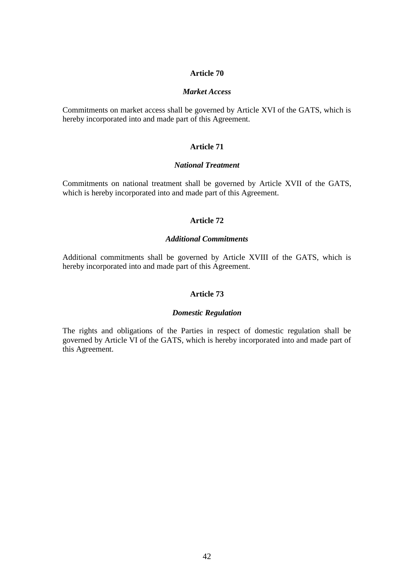### *Market Access*

Commitments on market access shall be governed by Article XVI of the GATS, which is hereby incorporated into and made part of this Agreement.

### **Article 71**

# *National Treatment*

Commitments on national treatment shall be governed by Article XVII of the GATS, which is hereby incorporated into and made part of this Agreement.

# **Article 72**

### *Additional Commitments*

Additional commitments shall be governed by Article XVIII of the GATS, which is hereby incorporated into and made part of this Agreement.

# **Article 73**

#### *Domestic Regulation*

The rights and obligations of the Parties in respect of domestic regulation shall be governed by Article VI of the GATS, which is hereby incorporated into and made part of this Agreement.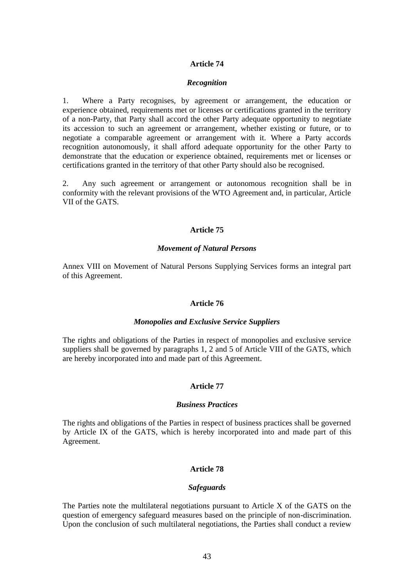#### *Recognition*

1. Where a Party recognises, by agreement or arrangement, the education or experience obtained, requirements met or licenses or certifications granted in the territory of a non-Party, that Party shall accord the other Party adequate opportunity to negotiate its accession to such an agreement or arrangement, whether existing or future, or to negotiate a comparable agreement or arrangement with it. Where a Party accords recognition autonomously, it shall afford adequate opportunity for the other Party to demonstrate that the education or experience obtained, requirements met or licenses or certifications granted in the territory of that other Party should also be recognised.

2. Any such agreement or arrangement or autonomous recognition shall be in conformity with the relevant provisions of the WTO Agreement and, in particular, Article VII of the GATS.

#### **Article 75**

### *Movement of Natural Persons*

Annex VIII on Movement of Natural Persons Supplying Services forms an integral part of this Agreement.

# **Article 76**

#### *Monopolies and Exclusive Service Suppliers*

The rights and obligations of the Parties in respect of monopolies and exclusive service suppliers shall be governed by paragraphs 1, 2 and 5 of Article VIII of the GATS, which are hereby incorporated into and made part of this Agreement.

# **Article 77**

#### *Business Practices*

The rights and obligations of the Parties in respect of business practices shall be governed by Article IX of the GATS, which is hereby incorporated into and made part of this Agreement.

#### **Article 78**

#### *Safeguards*

The Parties note the multilateral negotiations pursuant to Article X of the GATS on the question of emergency safeguard measures based on the principle of non-discrimination. Upon the conclusion of such multilateral negotiations, the Parties shall conduct a review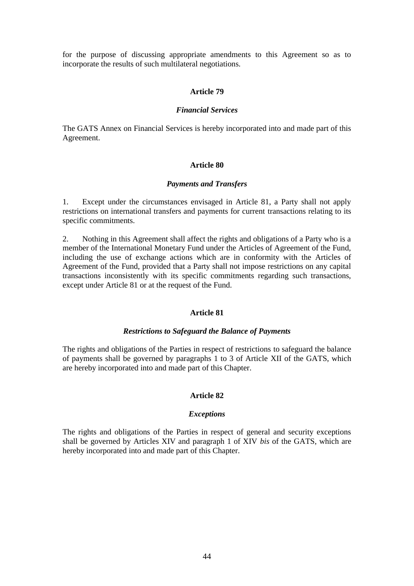for the purpose of discussing appropriate amendments to this Agreement so as to incorporate the results of such multilateral negotiations.

#### **Article 79**

### *Financial Services*

The GATS Annex on Financial Services is hereby incorporated into and made part of this Agreement.

### **Article 80**

#### *Payments and Transfers*

1. Except under the circumstances envisaged in Article 81, a Party shall not apply restrictions on international transfers and payments for current transactions relating to its specific commitments.

2. Nothing in this Agreement shall affect the rights and obligations of a Party who is a member of the International Monetary Fund under the Articles of Agreement of the Fund, including the use of exchange actions which are in conformity with the Articles of Agreement of the Fund, provided that a Party shall not impose restrictions on any capital transactions inconsistently with its specific commitments regarding such transactions, except under Article 81 or at the request of the Fund.

#### **Article 81**

### *Restrictions to Safeguard the Balance of Payments*

The rights and obligations of the Parties in respect of restrictions to safeguard the balance of payments shall be governed by paragraphs 1 to 3 of Article XII of the GATS, which are hereby incorporated into and made part of this Chapter.

### **Article 82**

#### *Exceptions*

The rights and obligations of the Parties in respect of general and security exceptions shall be governed by Articles XIV and paragraph 1 of XIV *bis* of the GATS, which are hereby incorporated into and made part of this Chapter.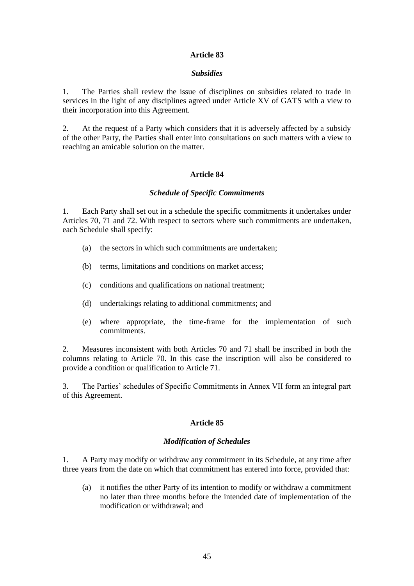### *Subsidies*

1. The Parties shall review the issue of disciplines on subsidies related to trade in services in the light of any disciplines agreed under Article XV of GATS with a view to their incorporation into this Agreement.

2. At the request of a Party which considers that it is adversely affected by a subsidy of the other Party, the Parties shall enter into consultations on such matters with a view to reaching an amicable solution on the matter.

# **Article 84**

### *Schedule of Specific Commitments*

1. Each Party shall set out in a schedule the specific commitments it undertakes under Articles 70, 71 and 72. With respect to sectors where such commitments are undertaken, each Schedule shall specify:

- (a) the sectors in which such commitments are undertaken;
- (b) terms, limitations and conditions on market access;
- (c) conditions and qualifications on national treatment;
- (d) undertakings relating to additional commitments; and
- (e) where appropriate, the time-frame for the implementation of such commitments.

2. Measures inconsistent with both Articles 70 and 71 shall be inscribed in both the columns relating to Article 70. In this case the inscription will also be considered to provide a condition or qualification to Article 71.

3. The Parties' schedules of Specific Commitments in Annex VII form an integral part of this Agreement.

### **Article 85**

### *Modification of Schedules*

1. A Party may modify or withdraw any commitment in its Schedule, at any time after three years from the date on which that commitment has entered into force, provided that:

(a) it notifies the other Party of its intention to modify or withdraw a commitment no later than three months before the intended date of implementation of the modification or withdrawal; and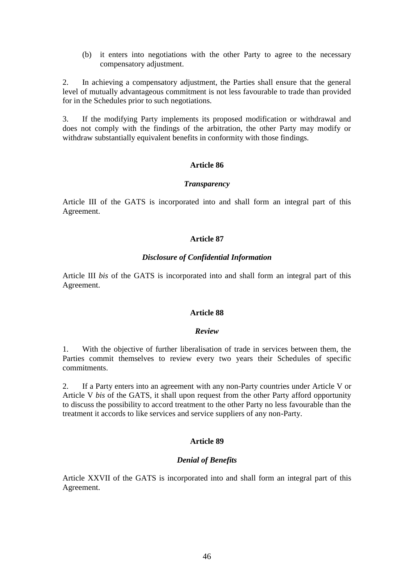(b) it enters into negotiations with the other Party to agree to the necessary compensatory adjustment.

2. In achieving a compensatory adjustment, the Parties shall ensure that the general level of mutually advantageous commitment is not less favourable to trade than provided for in the Schedules prior to such negotiations.

3. If the modifying Party implements its proposed modification or withdrawal and does not comply with the findings of the arbitration, the other Party may modify or withdraw substantially equivalent benefits in conformity with those findings.

### **Article 86**

### *Transparency*

Article III of the GATS is incorporated into and shall form an integral part of this Agreement.

# **Article 87**

### *Disclosure of Confidential Information*

Article III *bis* of the GATS is incorporated into and shall form an integral part of this Agreement.

### **Article 88**

#### *Review*

1. With the objective of further liberalisation of trade in services between them, the Parties commit themselves to review every two years their Schedules of specific commitments.

2. If a Party enters into an agreement with any non-Party countries under Article V or Article V *bis* of the GATS, it shall upon request from the other Party afford opportunity to discuss the possibility to accord treatment to the other Party no less favourable than the treatment it accords to like services and service suppliers of any non-Party.

### **Article 89**

### *Denial of Benefits*

Article XXVII of the GATS is incorporated into and shall form an integral part of this Agreement.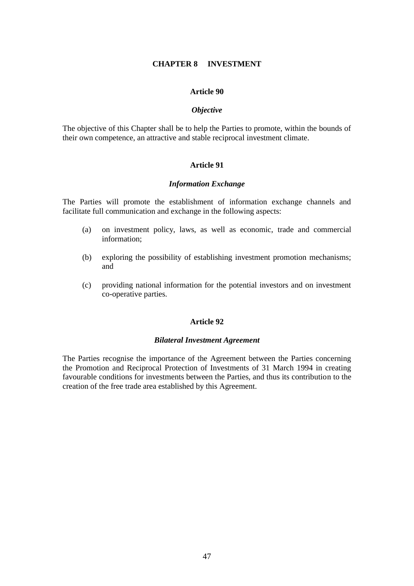### **CHAPTER 8 INVESTMENT**

### **Article 90**

### *Objective*

The objective of this Chapter shall be to help the Parties to promote, within the bounds of their own competence, an attractive and stable reciprocal investment climate.

### **Article 91**

### *Information Exchange*

The Parties will promote the establishment of information exchange channels and facilitate full communication and exchange in the following aspects:

- (a) on investment policy, laws, as well as economic, trade and commercial information;
- (b) exploring the possibility of establishing investment promotion mechanisms; and
- (c) providing national information for the potential investors and on investment co-operative parties.

# **Article 92**

### *Bilateral Investment Agreement*

The Parties recognise the importance of the Agreement between the Parties concerning the Promotion and Reciprocal Protection of Investments of 31 March 1994 in creating favourable conditions for investments between the Parties, and thus its contribution to the creation of the free trade area established by this Agreement.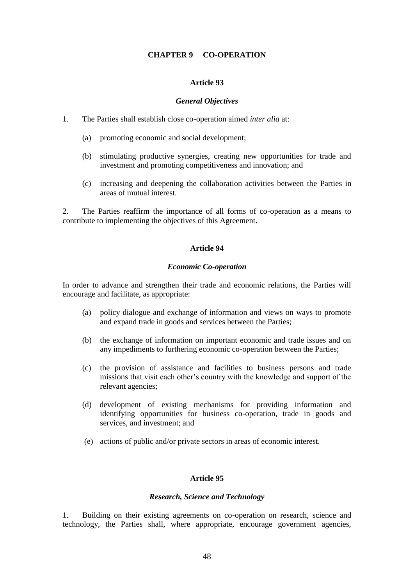# **CHAPTER 9 CO-OPERATION**

### **Article 93**

#### *General Objectives*

- 1. The Parties shall establish close co-operation aimed *inter alia* at:
	- (a) promoting economic and social development;
	- (b) stimulating productive synergies, creating new opportunities for trade and investment and promoting competitiveness and innovation; and
	- (c) increasing and deepening the collaboration activities between the Parties in areas of mutual interest.

2. The Parties reaffirm the importance of all forms of co-operation as a means to contribute to implementing the objectives of this Agreement.

# **Article 94**

### *Economic Co-operation*

In order to advance and strengthen their trade and economic relations, the Parties will encourage and facilitate, as appropriate:

- (a) policy dialogue and exchange of information and views on ways to promote and expand trade in goods and services between the Parties;
- (b) the exchange of information on important economic and trade issues and on any impediments to furthering economic co-operation between the Parties;
- (c) the provision of assistance and facilities to business persons and trade missions that visit each other's country with the knowledge and support of the relevant agencies;
- (d) development of existing mechanisms for providing information and identifying opportunities for business co-operation, trade in goods and services, and investment; and
- (e) actions of public and/or private sectors in areas of economic interest.

### **Article 95**

#### *Research, Science and Technology*

1. Building on their existing agreements on co-operation on research, science and technology, the Parties shall, where appropriate, encourage government agencies,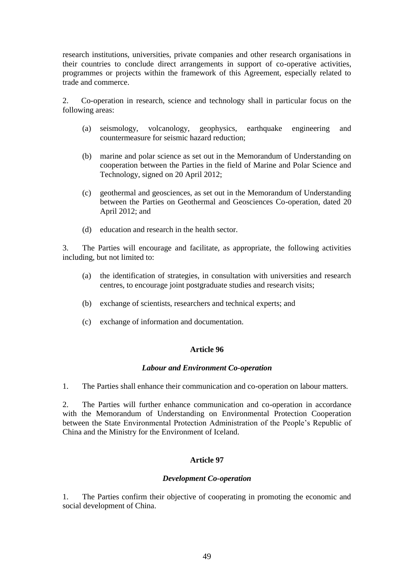research institutions, universities, private companies and other research organisations in their countries to conclude direct arrangements in support of co-operative activities, programmes or projects within the framework of this Agreement, especially related to trade and commerce.

2. Co-operation in research, science and technology shall in particular focus on the following areas:

- (a) seismology, volcanology, geophysics, earthquake engineering and countermeasure for seismic hazard reduction;
- (b) marine and polar science as set out in the Memorandum of Understanding on cooperation between the Parties in the field of Marine and Polar Science and Technology, signed on 20 April 2012;
- (c) geothermal and geosciences, as set out in the Memorandum of Understanding between the Parties on Geothermal and Geosciences Co-operation, dated 20 April 2012; and
- (d) education and research in the health sector.

3. The Parties will encourage and facilitate, as appropriate, the following activities including, but not limited to:

- (a) the identification of strategies, in consultation with universities and research centres, to encourage joint postgraduate studies and research visits;
- (b) exchange of scientists, researchers and technical experts; and
- (c) exchange of information and documentation.

### **Article 96**

### *Labour and Environment Co-operation*

1. The Parties shall enhance their communication and co-operation on labour matters.

2. The Parties will further enhance communication and co-operation in accordance with the Memorandum of Understanding on Environmental Protection Cooperation between the State Environmental Protection Administration of the People's Republic of China and the Ministry for the Environment of Iceland.

# **Article 97**

### *Development Co-operation*

1. The Parties confirm their objective of cooperating in promoting the economic and social development of China.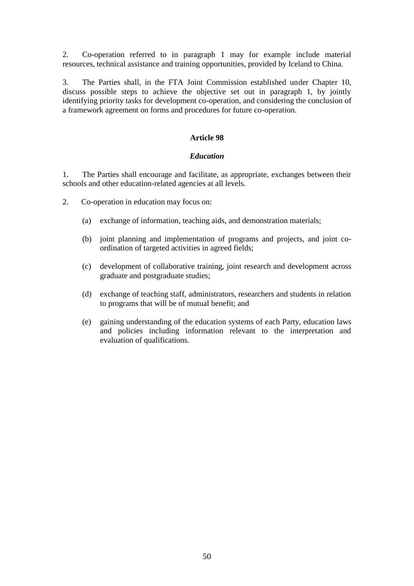2. Co-operation referred to in paragraph 1 may for example include material resources, technical assistance and training opportunities, provided by Iceland to China.

3. The Parties shall, in the FTA Joint Commission established under Chapter 10, discuss possible steps to achieve the objective set out in paragraph 1, by jointly identifying priority tasks for development co-operation, and considering the conclusion of a framework agreement on forms and procedures for future co-operation.

# **Article 98**

# *Education*

1. The Parties shall encourage and facilitate, as appropriate, exchanges between their schools and other education-related agencies at all levels.

2. Co-operation in education may focus on:

- (a) exchange of information, teaching aids, and demonstration materials;
- (b) joint planning and implementation of programs and projects, and joint coordination of targeted activities in agreed fields;
- (c) development of collaborative training, joint research and development across graduate and postgraduate studies;
- (d) exchange of teaching staff, administrators, researchers and students in relation to programs that will be of mutual benefit; and
- (e) gaining understanding of the education systems of each Party, education laws and policies including information relevant to the interpretation and evaluation of qualifications.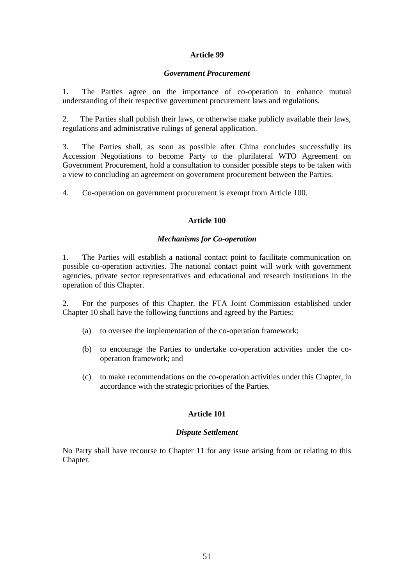### *Government Procurement*

1. The Parties agree on the importance of co-operation to enhance mutual understanding of their respective government procurement laws and regulations.

2. The Parties shall publish their laws, or otherwise make publicly available their laws, regulations and administrative rulings of general application.

3. The Parties shall, as soon as possible after China concludes successfully its Accession Negotiations to become Party to the plurilateral WTO Agreement on Government Procurement, hold a consultation to consider possible steps to be taken with a view to concluding an agreement on government procurement between the Parties.

4. Co-operation on government procurement is exempt from Article 100.

# **Article 100**

# *Mechanisms for Co-operation*

1. The Parties will establish a national contact point to facilitate communication on possible co-operation activities. The national contact point will work with government agencies, private sector representatives and educational and research institutions in the operation of this Chapter.

2. For the purposes of this Chapter, the FTA Joint Commission established under Chapter 10 shall have the following functions and agreed by the Parties:

- (a) to oversee the implementation of the co-operation framework;
- (b) to encourage the Parties to undertake co-operation activities under the cooperation framework; and
- (c) to make recommendations on the co-operation activities under this Chapter, in accordance with the strategic priorities of the Parties.

# **Article 101**

# *Dispute Settlement*

No Party shall have recourse to Chapter 11 for any issue arising from or relating to this Chapter.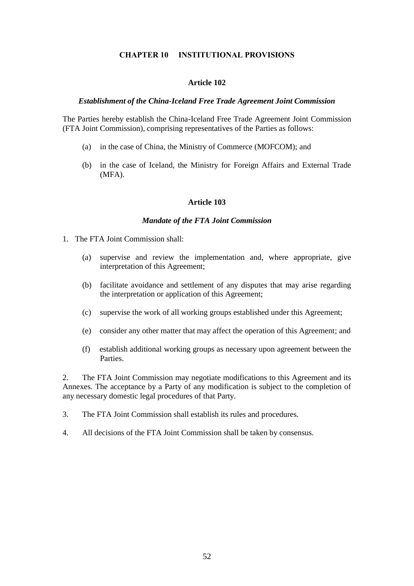### **CHAPTER 10 INSTITUTIONAL PROVISIONS**

### **Article 102**

# *Establishment of the China-Iceland Free Trade Agreement Joint Commission*

The Parties hereby establish the China-Iceland Free Trade Agreement Joint Commission (FTA Joint Commission), comprising representatives of the Parties as follows:

- (a) in the case of China, the Ministry of Commerce (MOFCOM); and
- (b) in the case of Iceland, the Ministry for Foreign Affairs and External Trade (MFA).

### **Article 103**

### *Mandate of the FTA Joint Commission*

- 1. The FTA Joint Commission shall:
	- (a) supervise and review the implementation and, where appropriate, give interpretation of this Agreement;
	- (b) facilitate avoidance and settlement of any disputes that may arise regarding the interpretation or application of this Agreement;
	- (c) supervise the work of all working groups established under this Agreement;
	- (e) consider any other matter that may affect the operation of this Agreement; and
	- (f) establish additional working groups as necessary upon agreement between the Parties.

2. The FTA Joint Commission may negotiate modifications to this Agreement and its Annexes. The acceptance by a Party of any modification is subject to the completion of any necessary domestic legal procedures of that Party.

- 3. The FTA Joint Commission shall establish its rules and procedures.
- 4. All decisions of the FTA Joint Commission shall be taken by consensus.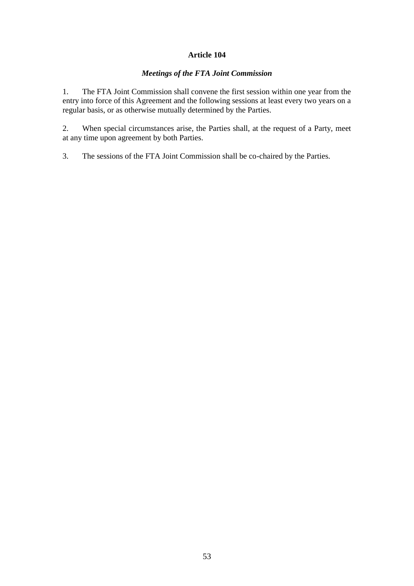# *Meetings of the FTA Joint Commission*

1. The FTA Joint Commission shall convene the first session within one year from the entry into force of this Agreement and the following sessions at least every two years on a regular basis, or as otherwise mutually determined by the Parties.

2. When special circumstances arise, the Parties shall, at the request of a Party, meet at any time upon agreement by both Parties.

3. The sessions of the FTA Joint Commission shall be co-chaired by the Parties.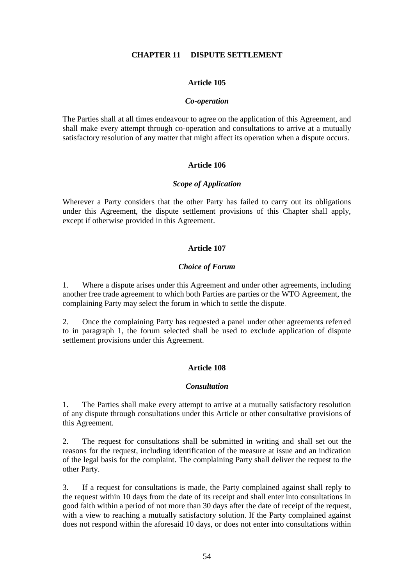# **CHAPTER 11 DISPUTE SETTLEMENT**

### **Article 105**

### *Co-operation*

The Parties shall at all times endeavour to agree on the application of this Agreement, and shall make every attempt through co-operation and consultations to arrive at a mutually satisfactory resolution of any matter that might affect its operation when a dispute occurs.

# **Article 106**

### *Scope of Application*

Wherever a Party considers that the other Party has failed to carry out its obligations under this Agreement, the dispute settlement provisions of this Chapter shall apply, except if otherwise provided in this Agreement.

# **Article 107**

# *Choice of Forum*

1. Where a dispute arises under this Agreement and under other agreements, including another free trade agreement to which both Parties are parties or the WTO Agreement, the complaining Party may select the forum in which to settle the dispute.

2. Once the complaining Party has requested a panel under other agreements referred to in paragraph 1, the forum selected shall be used to exclude application of dispute settlement provisions under this Agreement.

# **Article 108**

### *Consultation*

1. The Parties shall make every attempt to arrive at a mutually satisfactory resolution of any dispute through consultations under this Article or other consultative provisions of this Agreement.

2. The request for consultations shall be submitted in writing and shall set out the reasons for the request, including identification of the measure at issue and an indication of the legal basis for the complaint. The complaining Party shall deliver the request to the other Party.

3. If a request for consultations is made, the Party complained against shall reply to the request within 10 days from the date of its receipt and shall enter into consultations in good faith within a period of not more than 30 days after the date of receipt of the request, with a view to reaching a mutually satisfactory solution. If the Party complained against does not respond within the aforesaid 10 days, or does not enter into consultations within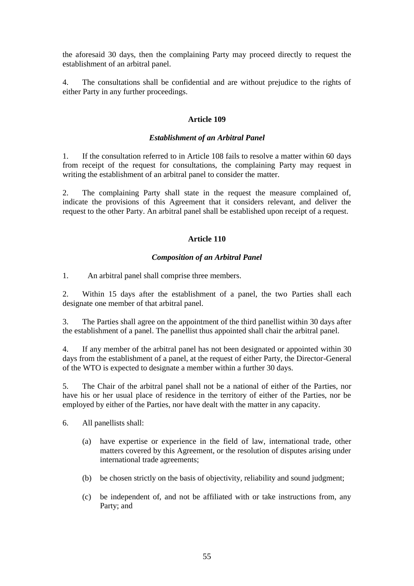the aforesaid 30 days, then the complaining Party may proceed directly to request the establishment of an arbitral panel.

4. The consultations shall be confidential and are without prejudice to the rights of either Party in any further proceedings.

# **Article 109**

### *Establishment of an Arbitral Panel*

1. If the consultation referred to in Article 108 fails to resolve a matter within 60 days from receipt of the request for consultations, the complaining Party may request in writing the establishment of an arbitral panel to consider the matter.

2. The complaining Party shall state in the request the measure complained of, indicate the provisions of this Agreement that it considers relevant, and deliver the request to the other Party. An arbitral panel shall be established upon receipt of a request.

# **Article 110**

# *Composition of an Arbitral Panel*

1. An arbitral panel shall comprise three members.

2. Within 15 days after the establishment of a panel, the two Parties shall each designate one member of that arbitral panel.

3. The Parties shall agree on the appointment of the third panellist within 30 days after the establishment of a panel. The panellist thus appointed shall chair the arbitral panel.

4. If any member of the arbitral panel has not been designated or appointed within 30 days from the establishment of a panel, at the request of either Party, the Director-General of the WTO is expected to designate a member within a further 30 days.

5. The Chair of the arbitral panel shall not be a national of either of the Parties, nor have his or her usual place of residence in the territory of either of the Parties, nor be employed by either of the Parties, nor have dealt with the matter in any capacity.

6. All panellists shall:

- (a) have expertise or experience in the field of law, international trade, other matters covered by this Agreement, or the resolution of disputes arising under international trade agreements;
- (b) be chosen strictly on the basis of objectivity, reliability and sound judgment;
- (c) be independent of, and not be affiliated with or take instructions from, any Party; and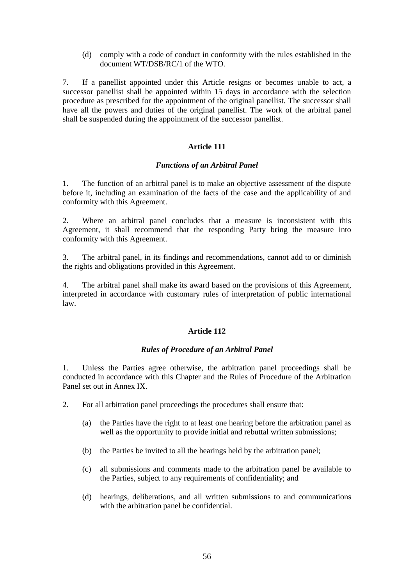(d) comply with a code of conduct in conformity with the rules established in the document WT/DSB/RC/1 of the WTO.

7. If a panellist appointed under this Article resigns or becomes unable to act, a successor panellist shall be appointed within 15 days in accordance with the selection procedure as prescribed for the appointment of the original panellist. The successor shall have all the powers and duties of the original panellist. The work of the arbitral panel shall be suspended during the appointment of the successor panellist.

# **Article 111**

### *Functions of an Arbitral Panel*

1. The function of an arbitral panel is to make an objective assessment of the dispute before it, including an examination of the facts of the case and the applicability of and conformity with this Agreement.

2. Where an arbitral panel concludes that a measure is inconsistent with this Agreement, it shall recommend that the responding Party bring the measure into conformity with this Agreement.

3. The arbitral panel, in its findings and recommendations, cannot add to or diminish the rights and obligations provided in this Agreement.

4. The arbitral panel shall make its award based on the provisions of this Agreement, interpreted in accordance with customary rules of interpretation of public international law.

# **Article 112**

### *Rules of Procedure of an Arbitral Panel*

1. Unless the Parties agree otherwise, the arbitration panel proceedings shall be conducted in accordance with this Chapter and the Rules of Procedure of the Arbitration Panel set out in Annex IX.

- 2. For all arbitration panel proceedings the procedures shall ensure that:
	- (a) the Parties have the right to at least one hearing before the arbitration panel as well as the opportunity to provide initial and rebuttal written submissions;
	- (b) the Parties be invited to all the hearings held by the arbitration panel;
	- (c) all submissions and comments made to the arbitration panel be available to the Parties, subject to any requirements of confidentiality; and
	- (d) hearings, deliberations, and all written submissions to and communications with the arbitration panel be confidential.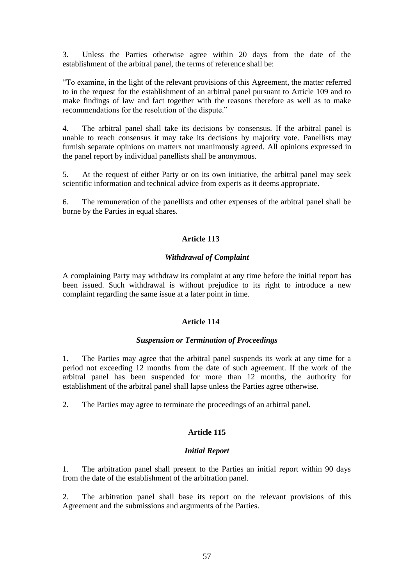3. Unless the Parties otherwise agree within 20 days from the date of the establishment of the arbitral panel, the terms of reference shall be:

"To examine, in the light of the relevant provisions of this Agreement, the matter referred to in the request for the establishment of an arbitral panel pursuant to Article 109 and to make findings of law and fact together with the reasons therefore as well as to make recommendations for the resolution of the dispute."

4. The arbitral panel shall take its decisions by consensus. If the arbitral panel is unable to reach consensus it may take its decisions by majority vote. Panellists may furnish separate opinions on matters not unanimously agreed. All opinions expressed in the panel report by individual panellists shall be anonymous.

5. At the request of either Party or on its own initiative, the arbitral panel may seek scientific information and technical advice from experts as it deems appropriate.

6. The remuneration of the panellists and other expenses of the arbitral panel shall be borne by the Parties in equal shares.

# **Article 113**

# *Withdrawal of Complaint*

A complaining Party may withdraw its complaint at any time before the initial report has been issued. Such withdrawal is without prejudice to its right to introduce a new complaint regarding the same issue at a later point in time.

### **Article 114**

### *Suspension or Termination of Proceedings*

1. The Parties may agree that the arbitral panel suspends its work at any time for a period not exceeding 12 months from the date of such agreement. If the work of the arbitral panel has been suspended for more than 12 months, the authority for establishment of the arbitral panel shall lapse unless the Parties agree otherwise.

2. The Parties may agree to terminate the proceedings of an arbitral panel.

### **Article 115**

#### *Initial Report*

1. The arbitration panel shall present to the Parties an initial report within 90 days from the date of the establishment of the arbitration panel.

2. The arbitration panel shall base its report on the relevant provisions of this Agreement and the submissions and arguments of the Parties.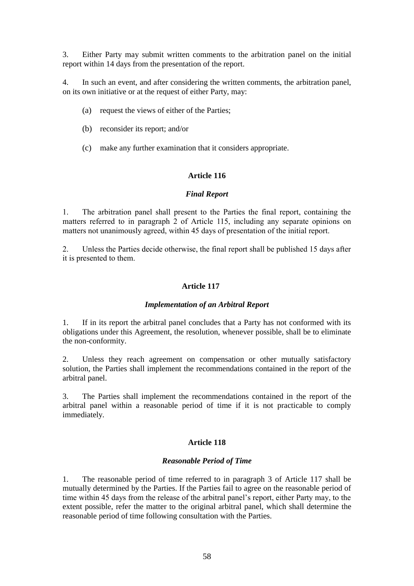3. Either Party may submit written comments to the arbitration panel on the initial report within 14 days from the presentation of the report.

4. In such an event, and after considering the written comments, the arbitration panel, on its own initiative or at the request of either Party, may:

- (a) request the views of either of the Parties;
- (b) reconsider its report; and/or
- (c) make any further examination that it considers appropriate.

### **Article 116**

### *Final Report*

1. The arbitration panel shall present to the Parties the final report, containing the matters referred to in paragraph 2 of Article 115, including any separate opinions on matters not unanimously agreed, within 45 days of presentation of the initial report.

2. Unless the Parties decide otherwise, the final report shall be published 15 days after it is presented to them.

### **Article 117**

#### *Implementation of an Arbitral Report*

1. If in its report the arbitral panel concludes that a Party has not conformed with its obligations under this Agreement, the resolution, whenever possible, shall be to eliminate the non-conformity.

2. Unless they reach agreement on compensation or other mutually satisfactory solution, the Parties shall implement the recommendations contained in the report of the arbitral panel.

3. The Parties shall implement the recommendations contained in the report of the arbitral panel within a reasonable period of time if it is not practicable to comply immediately.

#### **Article 118**

#### *Reasonable Period of Time*

1. The reasonable period of time referred to in paragraph 3 of Article 117 shall be mutually determined by the Parties. If the Parties fail to agree on the reasonable period of time within 45 days from the release of the arbitral panel's report, either Party may, to the extent possible, refer the matter to the original arbitral panel, which shall determine the reasonable period of time following consultation with the Parties.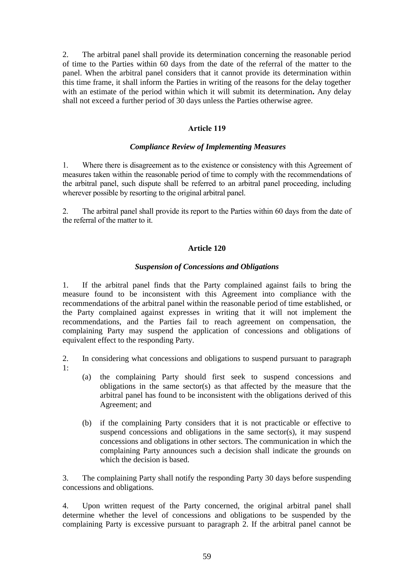2. The arbitral panel shall provide its determination concerning the reasonable period of time to the Parties within 60 days from the date of the referral of the matter to the panel. When the arbitral panel considers that it cannot provide its determination within this time frame, it shall inform the Parties in writing of the reasons for the delay together with an estimate of the period within which it will submit its determination**.** Any delay shall not exceed a further period of 30 days unless the Parties otherwise agree.

# **Article 119**

### *Compliance Review of Implementing Measures*

1. Where there is disagreement as to the existence or consistency with this Agreement of measures taken within the reasonable period of time to comply with the recommendations of the arbitral panel, such dispute shall be referred to an arbitral panel proceeding, including wherever possible by resorting to the original arbitral panel.

2. The arbitral panel shall provide its report to the Parties within 60 days from the date of the referral of the matter to it.

### **Article 120**

#### *Suspension of Concessions and Obligations*

1. If the arbitral panel finds that the Party complained against fails to bring the measure found to be inconsistent with this Agreement into compliance with the recommendations of the arbitral panel within the reasonable period of time established, or the Party complained against expresses in writing that it will not implement the recommendations, and the Parties fail to reach agreement on compensation, the complaining Party may suspend the application of concessions and obligations of equivalent effect to the responding Party.

2. In considering what concessions and obligations to suspend pursuant to paragraph 1:

- (a) the complaining Party should first seek to suspend concessions and obligations in the same sector(s) as that affected by the measure that the arbitral panel has found to be inconsistent with the obligations derived of this Agreement; and
- (b) if the complaining Party considers that it is not practicable or effective to suspend concessions and obligations in the same sector(s), it may suspend concessions and obligations in other sectors. The communication in which the complaining Party announces such a decision shall indicate the grounds on which the decision is based.

3. The complaining Party shall notify the responding Party 30 days before suspending concessions and obligations.

4. Upon written request of the Party concerned, the original arbitral panel shall determine whether the level of concessions and obligations to be suspended by the complaining Party is excessive pursuant to paragraph 2. If the arbitral panel cannot be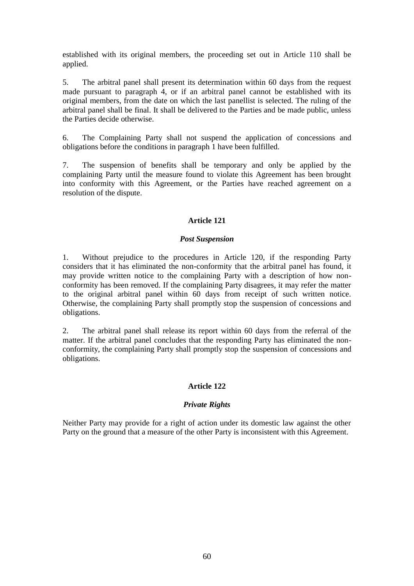established with its original members, the proceeding set out in Article 110 shall be applied.

5. The arbitral panel shall present its determination within 60 days from the request made pursuant to paragraph 4, or if an arbitral panel cannot be established with its original members, from the date on which the last panellist is selected. The ruling of the arbitral panel shall be final. It shall be delivered to the Parties and be made public, unless the Parties decide otherwise.

6. The Complaining Party shall not suspend the application of concessions and obligations before the conditions in paragraph 1 have been fulfilled.

7. The suspension of benefits shall be temporary and only be applied by the complaining Party until the measure found to violate this Agreement has been brought into conformity with this Agreement, or the Parties have reached agreement on a resolution of the dispute.

# **Article 121**

# *Post Suspension*

1. Without prejudice to the procedures in Article 120, if the responding Party considers that it has eliminated the non-conformity that the arbitral panel has found, it may provide written notice to the complaining Party with a description of how nonconformity has been removed. If the complaining Party disagrees, it may refer the matter to the original arbitral panel within 60 days from receipt of such written notice. Otherwise, the complaining Party shall promptly stop the suspension of concessions and obligations.

2. The arbitral panel shall release its report within 60 days from the referral of the matter. If the arbitral panel concludes that the responding Party has eliminated the nonconformity, the complaining Party shall promptly stop the suspension of concessions and obligations.

# **Article 122**

### *Private Rights*

Neither Party may provide for a right of action under its domestic law against the other Party on the ground that a measure of the other Party is inconsistent with this Agreement.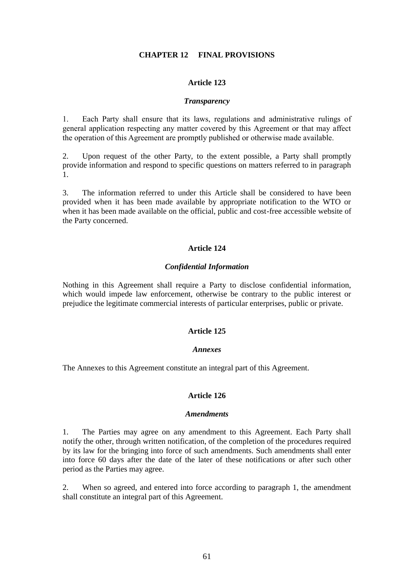### **CHAPTER 12 FINAL PROVISIONS**

#### **Article 123**

#### *Transparency*

1. Each Party shall ensure that its laws, regulations and administrative rulings of general application respecting any matter covered by this Agreement or that may affect the operation of this Agreement are promptly published or otherwise made available.

2. Upon request of the other Party, to the extent possible, a Party shall promptly provide information and respond to specific questions on matters referred to in paragraph 1.

3. The information referred to under this Article shall be considered to have been provided when it has been made available by appropriate notification to the WTO or when it has been made available on the official, public and cost-free accessible website of the Party concerned.

#### **Article 124**

#### *Confidential Information*

Nothing in this Agreement shall require a Party to disclose confidential information, which would impede law enforcement, otherwise be contrary to the public interest or prejudice the legitimate commercial interests of particular enterprises, public or private.

# **Article 125**

#### *Annexes*

The Annexes to this Agreement constitute an integral part of this Agreement.

### **Article 126**

#### *Amendments*

1. The Parties may agree on any amendment to this Agreement. Each Party shall notify the other, through written notification, of the completion of the procedures required by its law for the bringing into force of such amendments. Such amendments shall enter into force 60 days after the date of the later of these notifications or after such other period as the Parties may agree.

2. When so agreed, and entered into force according to paragraph 1, the amendment shall constitute an integral part of this Agreement.